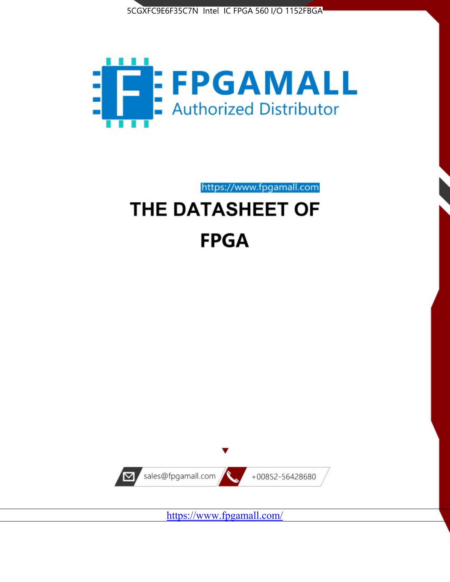



https://www.fpgamall.com

# THE DATASHEET OF **FPGA**



<https://www.fpgamall.com/>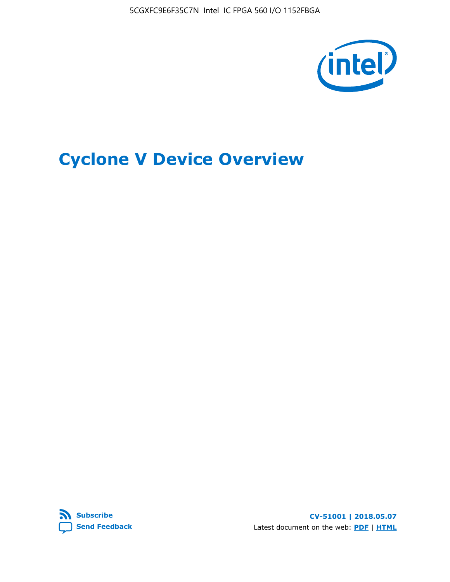5CGXFC9E6F35C7N Intel IC FPGA 560 I/O 1152FBGA



# **Cyclone V Device Overview**



**CV-51001 | 2018.05.07** Latest document on the web: **[PDF](https://www.altera.com/en_US/pdfs/literature/hb/cyclone-v/cv_51001.pdf)** | **[HTML](https://www.altera.com/documentation/sam1403480548153.html)**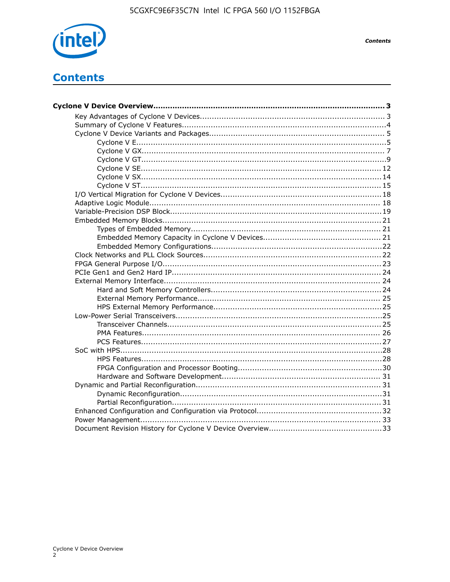

**Contents** 

# **Contents**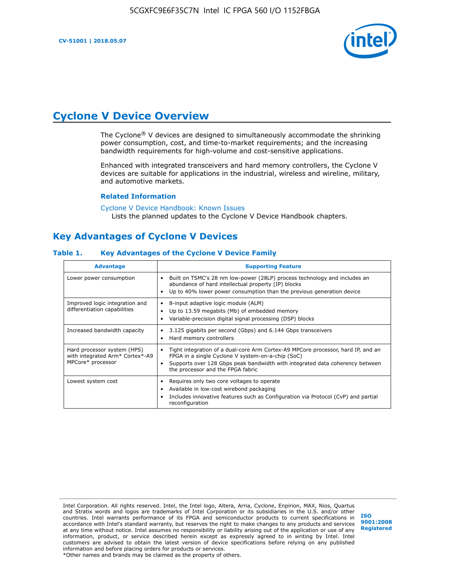

# **Cyclone V Device Overview**

The Cyclone® V devices are designed to simultaneously accommodate the shrinking power consumption, cost, and time-to-market requirements; and the increasing bandwidth requirements for high-volume and cost-sensitive applications.

Enhanced with integrated transceivers and hard memory controllers, the Cyclone V devices are suitable for applications in the industrial, wireless and wireline, military, and automotive markets.

### **Related Information**

#### [Cyclone V Device Handbook: Known Issues](https://www.altera.com/support/support-resources/knowledge-base/solutions/rd12152011_347.html) Lists the planned updates to the Cyclone V Device Handbook chapters.

# **Key Advantages of Cyclone V Devices**

### **Table 1. Key Advantages of the Cyclone V Device Family**

| <b>Advantage</b>                                                                    | <b>Supporting Feature</b>                                                                                                                                                                                                                                                    |
|-------------------------------------------------------------------------------------|------------------------------------------------------------------------------------------------------------------------------------------------------------------------------------------------------------------------------------------------------------------------------|
| Lower power consumption                                                             | Built on TSMC's 28 nm low-power (28LP) process technology and includes an<br>٠<br>abundance of hard intellectual property (IP) blocks<br>Up to 40% lower power consumption than the previous generation device<br>٠                                                          |
| Improved logic integration and<br>differentiation capabilities                      | 8-input adaptive logic module (ALM)<br>٠<br>Up to 13.59 megabits (Mb) of embedded memory<br>٠<br>Variable-precision digital signal processing (DSP) blocks<br>٠                                                                                                              |
| Increased bandwidth capacity                                                        | 3.125 gigabits per second (Gbps) and 6.144 Gbps transceivers<br>٠<br>Hard memory controllers<br>٠                                                                                                                                                                            |
| Hard processor system (HPS)<br>with integrated Arm* Cortex*-A9<br>MPCore* processor | Tight integration of a dual-core Arm Cortex-A9 MPCore processor, hard IP, and an<br>$\bullet$<br>FPGA in a single Cyclone V system-on-a-chip (SoC)<br>Supports over 128 Gbps peak bandwidth with integrated data coherency between<br>٠<br>the processor and the FPGA fabric |
| Lowest system cost                                                                  | Requires only two core voltages to operate<br>٠<br>Available in low-cost wirebond packaging<br>٠<br>Includes innovative features such as Configuration via Protocol (CvP) and partial<br>٠<br>reconfiguration                                                                |

Intel Corporation. All rights reserved. Intel, the Intel logo, Altera, Arria, Cyclone, Enpirion, MAX, Nios, Quartus and Stratix words and logos are trademarks of Intel Corporation or its subsidiaries in the U.S. and/or other countries. Intel warrants performance of its FPGA and semiconductor products to current specifications in accordance with Intel's standard warranty, but reserves the right to make changes to any products and services at any time without notice. Intel assumes no responsibility or liability arising out of the application or use of any information, product, or service described herein except as expressly agreed to in writing by Intel. Intel customers are advised to obtain the latest version of device specifications before relying on any published information and before placing orders for products or services. \*Other names and brands may be claimed as the property of others.

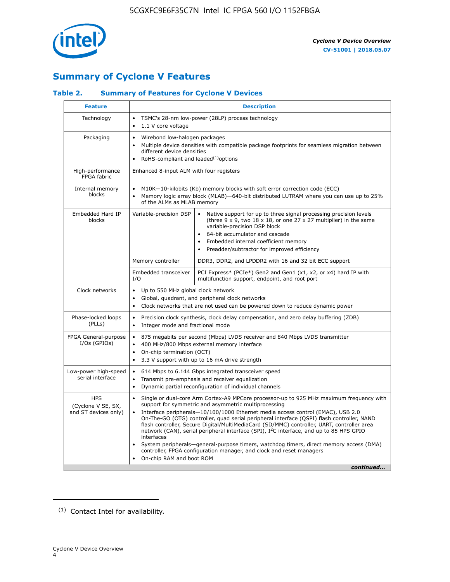

# **Summary of Cyclone V Features**

### **Table 2. Summary of Features for Cyclone V Devices**

| <b>Feature</b>                                           | <b>Description</b>                                                                                                                                                                                      |                                                                                                                                                                                                                                                                                                                                                                                                                                                                                                                                                                                                                                                                                                         |  |  |  |  |  |  |
|----------------------------------------------------------|---------------------------------------------------------------------------------------------------------------------------------------------------------------------------------------------------------|---------------------------------------------------------------------------------------------------------------------------------------------------------------------------------------------------------------------------------------------------------------------------------------------------------------------------------------------------------------------------------------------------------------------------------------------------------------------------------------------------------------------------------------------------------------------------------------------------------------------------------------------------------------------------------------------------------|--|--|--|--|--|--|
| Technology                                               | TSMC's 28-nm low-power (28LP) process technology<br>$\bullet$<br>1.1 V core voltage                                                                                                                     |                                                                                                                                                                                                                                                                                                                                                                                                                                                                                                                                                                                                                                                                                                         |  |  |  |  |  |  |
| Packaging                                                | $\bullet$                                                                                                                                                                                               | Wirebond low-halogen packages<br>Multiple device densities with compatible package footprints for seamless migration between<br>different device densities<br>RoHS-compliant and leaded $(1)$ options                                                                                                                                                                                                                                                                                                                                                                                                                                                                                                   |  |  |  |  |  |  |
| High-performance<br>FPGA fabric                          | Enhanced 8-input ALM with four registers                                                                                                                                                                |                                                                                                                                                                                                                                                                                                                                                                                                                                                                                                                                                                                                                                                                                                         |  |  |  |  |  |  |
| Internal memory<br>blocks                                | of the ALMs as MLAB memory                                                                                                                                                                              | M10K-10-kilobits (Kb) memory blocks with soft error correction code (ECC)<br>Memory logic array block (MLAB)-640-bit distributed LUTRAM where you can use up to 25%                                                                                                                                                                                                                                                                                                                                                                                                                                                                                                                                     |  |  |  |  |  |  |
| Embedded Hard IP<br>blocks                               | Variable-precision DSP                                                                                                                                                                                  | Native support for up to three signal processing precision levels<br>(three $9 \times 9$ , two $18 \times 18$ , or one $27 \times 27$ multiplier) in the same<br>variable-precision DSP block<br>64-bit accumulator and cascade<br>Embedded internal coefficient memory<br>Preadder/subtractor for improved efficiency                                                                                                                                                                                                                                                                                                                                                                                  |  |  |  |  |  |  |
|                                                          | Memory controller                                                                                                                                                                                       | DDR3, DDR2, and LPDDR2 with 16 and 32 bit ECC support                                                                                                                                                                                                                                                                                                                                                                                                                                                                                                                                                                                                                                                   |  |  |  |  |  |  |
|                                                          | Embedded transceiver<br>I/O                                                                                                                                                                             | PCI Express* (PCIe*) Gen2 and Gen1 (x1, x2, or x4) hard IP with<br>multifunction support, endpoint, and root port                                                                                                                                                                                                                                                                                                                                                                                                                                                                                                                                                                                       |  |  |  |  |  |  |
| Clock networks                                           | Up to 550 MHz global clock network<br>$\bullet$<br>$\bullet$<br>$\bullet$                                                                                                                               | Global, quadrant, and peripheral clock networks<br>Clock networks that are not used can be powered down to reduce dynamic power                                                                                                                                                                                                                                                                                                                                                                                                                                                                                                                                                                         |  |  |  |  |  |  |
| Phase-locked loops<br>(PLLs)                             | $\bullet$<br>Integer mode and fractional mode<br>$\bullet$                                                                                                                                              | Precision clock synthesis, clock delay compensation, and zero delay buffering (ZDB)                                                                                                                                                                                                                                                                                                                                                                                                                                                                                                                                                                                                                     |  |  |  |  |  |  |
| FPGA General-purpose<br>$I/Os$ (GPIOs)                   | $\bullet$<br>$\bullet$<br>On-chip termination (OCT)<br>$\bullet$                                                                                                                                        | 875 megabits per second (Mbps) LVDS receiver and 840 Mbps LVDS transmitter<br>400 MHz/800 Mbps external memory interface<br>3.3 V support with up to 16 mA drive strength                                                                                                                                                                                                                                                                                                                                                                                                                                                                                                                               |  |  |  |  |  |  |
| Low-power high-speed<br>serial interface                 | 614 Mbps to 6.144 Gbps integrated transceiver speed<br>$\bullet$<br>Transmit pre-emphasis and receiver equalization<br>$\bullet$<br>Dynamic partial reconfiguration of individual channels<br>$\bullet$ |                                                                                                                                                                                                                                                                                                                                                                                                                                                                                                                                                                                                                                                                                                         |  |  |  |  |  |  |
| <b>HPS</b><br>(Cyclone V SE, SX,<br>and ST devices only) | $\bullet$<br>$\bullet$<br>interfaces<br>On-chip RAM and boot ROM                                                                                                                                        | Single or dual-core Arm Cortex-A9 MPCore processor-up to 925 MHz maximum frequency with<br>support for symmetric and asymmetric multiprocessing<br>Interface peripherals-10/100/1000 Ethernet media access control (EMAC), USB 2.0<br>On-The-GO (OTG) controller, quad serial peripheral interface (QSPI) flash controller, NAND<br>flash controller, Secure Digital/MultiMediaCard (SD/MMC) controller, UART, controller area<br>network (CAN), serial peripheral interface (SPI), I <sup>2</sup> C interface, and up to 85 HPS GPIO<br>System peripherals—general-purpose timers, watchdog timers, direct memory access (DMA)<br>controller, FPGA configuration manager, and clock and reset managers |  |  |  |  |  |  |
|                                                          |                                                                                                                                                                                                         | continued                                                                                                                                                                                                                                                                                                                                                                                                                                                                                                                                                                                                                                                                                               |  |  |  |  |  |  |

<sup>(1)</sup> Contact Intel for availability.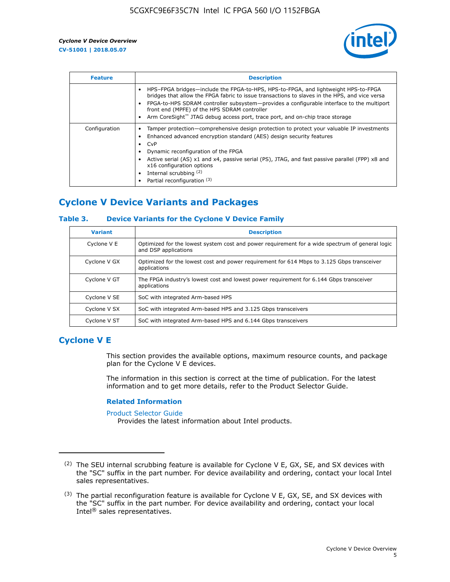

| <b>Feature</b> | <b>Description</b>                                                                                                                                                                                                                                                                                                                                                                                                           |  |  |  |  |  |  |  |
|----------------|------------------------------------------------------------------------------------------------------------------------------------------------------------------------------------------------------------------------------------------------------------------------------------------------------------------------------------------------------------------------------------------------------------------------------|--|--|--|--|--|--|--|
|                | HPS-FPGA bridges—include the FPGA-to-HPS, HPS-to-FPGA, and lightweight HPS-to-FPGA<br>bridges that allow the FPGA fabric to issue transactions to slaves in the HPS, and vice versa<br>FPGA-to-HPS SDRAM controller subsystem-provides a configurable interface to the multiport<br>front end (MPFE) of the HPS SDRAM controller<br>Arm CoreSight <sup>™</sup> JTAG debug access port, trace port, and on-chip trace storage |  |  |  |  |  |  |  |
| Configuration  | Tamper protection—comprehensive design protection to protect your valuable IP investments<br>Enhanced advanced encryption standard (AES) design security features<br>CvP<br>Dynamic reconfiguration of the FPGA<br>Active serial (AS) x1 and x4, passive serial (PS), JTAG, and fast passive parallel (FPP) x8 and<br>x16 configuration options<br>Internal scrubbing (2)<br>Partial reconfiguration (3)                     |  |  |  |  |  |  |  |

# **Cyclone V Device Variants and Packages**

### **Table 3. Device Variants for the Cyclone V Device Family**

| <b>Variant</b> | <b>Description</b>                                                                                                      |
|----------------|-------------------------------------------------------------------------------------------------------------------------|
| Cyclone V E    | Optimized for the lowest system cost and power requirement for a wide spectrum of general logic<br>and DSP applications |
| Cyclone V GX   | Optimized for the lowest cost and power requirement for 614 Mbps to 3.125 Gbps transceiver<br>applications              |
| Cyclone V GT   | The FPGA industry's lowest cost and lowest power requirement for 6.144 Gbps transceiver<br>applications                 |
| Cyclone V SE   | SoC with integrated Arm-based HPS                                                                                       |
| Cyclone V SX   | SoC with integrated Arm-based HPS and 3.125 Gbps transceivers                                                           |
| Cyclone V ST   | SoC with integrated Arm-based HPS and 6.144 Gbps transceivers                                                           |

# **Cyclone V E**

This section provides the available options, maximum resource counts, and package plan for the Cyclone V E devices.

The information in this section is correct at the time of publication. For the latest information and to get more details, refer to the Product Selector Guide.

#### **Related Information**

[Product Selector Guide](https://www.altera.com/products/product-selector-guide.html)

Provides the latest information about Intel products.

<sup>(2)</sup> The SEU internal scrubbing feature is available for Cyclone V E, GX, SE, and SX devices with the "SC" suffix in the part number. For device availability and ordering, contact your local Intel sales representatives.

 $(3)$  The partial reconfiguration feature is available for Cyclone V E, GX, SE, and SX devices with the "SC" suffix in the part number. For device availability and ordering, contact your local Intel® sales representatives.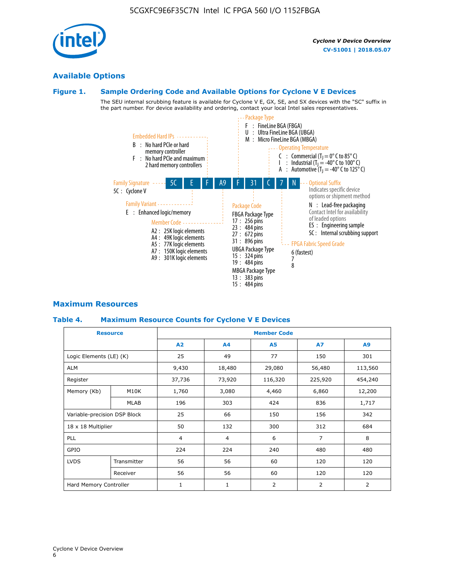# **Available Options**

### **Figure 1. Sample Ordering Code and Available Options for Cyclone V E Devices**

The SEU internal scrubbing feature is available for Cyclone V E, GX, SE, and SX devices with the "SC" suffix in the part number. For device availability and ordering, contact your local Intel sales representatives.



### **Maximum Resources**

### **Table 4. Maximum Resource Counts for Cyclone V E Devices**

| <b>Resource</b>              |                        | <b>Member Code</b> |                |                |                |                |  |  |
|------------------------------|------------------------|--------------------|----------------|----------------|----------------|----------------|--|--|
|                              |                        | A2                 | A <sub>4</sub> | <b>A5</b>      | <b>A7</b>      | A <sub>9</sub> |  |  |
| Logic Elements (LE) (K)      |                        | 25                 | 49             | 77             | 150            | 301            |  |  |
| <b>ALM</b>                   |                        | 9,430              | 18,480         | 29,080         | 56,480         | 113,560        |  |  |
| Register                     |                        |                    | 73,920         | 116,320        | 225,920        | 454,240        |  |  |
| Memory (Kb)                  | M10K                   | 1,760              | 3,080          | 4,460          | 6,860          | 12,200         |  |  |
|                              | <b>MLAB</b>            | 196                | 303            | 424            | 836            | 1,717          |  |  |
| Variable-precision DSP Block |                        | 25                 | 66             | 150            | 156            | 342            |  |  |
| 18 x 18 Multiplier           |                        | 50                 | 132            | 300            | 312            | 684            |  |  |
| PLL                          |                        | $\overline{4}$     | $\overline{4}$ | 6              | $\overline{7}$ | 8              |  |  |
| GPIO                         |                        | 224<br>224<br>240  |                | 480            | 480            |                |  |  |
| <b>LVDS</b>                  | Transmitter            | 56                 | 56             | 60             | 120            | 120            |  |  |
|                              | Receiver               | 56                 | 56             | 60             | 120            | 120            |  |  |
|                              | Hard Memory Controller |                    | $\mathbf{1}$   | $\overline{2}$ | 2              | $\overline{2}$ |  |  |

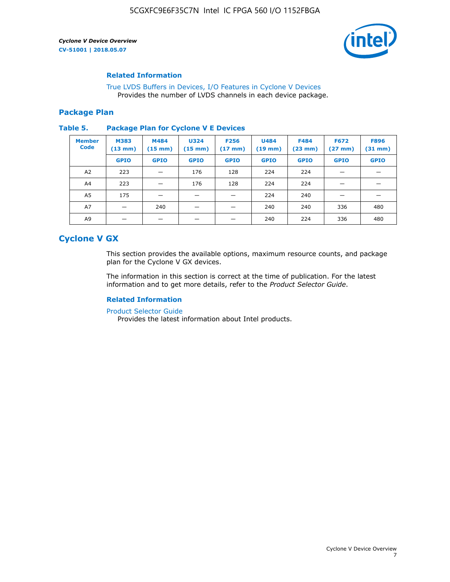

### **Related Information**

[True LVDS Buffers in Devices, I/O Features in Cyclone V Devices](https://www.altera.com/documentation/sam1403481100977.html#sam1403480885395) Provides the number of LVDS channels in each device package.

### **Package Plan**

#### **Table 5. Package Plan for Cyclone V E Devices**

| <b>Member</b><br><b>Code</b> | <b>M383</b><br>$(13 \text{ mm})$ | M484<br>$(15 \text{ mm})$ | <b>U324</b><br>$(15 \text{ mm})$ | <b>F256</b><br>$(17 \text{ mm})$ | <b>U484</b><br>$(19$ mm) | <b>F484</b><br>$(23$ mm $)$ | <b>F672</b><br>$(27 \, \text{mm})$ | <b>F896</b><br>$(31$ mm $)$ |
|------------------------------|----------------------------------|---------------------------|----------------------------------|----------------------------------|--------------------------|-----------------------------|------------------------------------|-----------------------------|
|                              | <b>GPIO</b>                      | <b>GPIO</b>               | <b>GPIO</b>                      | <b>GPIO</b>                      | <b>GPIO</b>              | <b>GPIO</b>                 | <b>GPIO</b>                        | <b>GPIO</b>                 |
| A2                           | 223                              |                           | 176                              | 128                              | 224                      | 224                         | –                                  |                             |
| A4                           | 223                              |                           | 176                              | 128                              | 224                      | 224                         | –                                  |                             |
| A5                           | 175                              |                           |                                  |                                  | 224                      | 240                         |                                    |                             |
| A7                           |                                  | 240                       |                                  |                                  | 240                      | 240                         | 336                                | 480                         |
| A9                           |                                  |                           |                                  |                                  | 240                      | 224                         | 336                                | 480                         |

# **Cyclone V GX**

This section provides the available options, maximum resource counts, and package plan for the Cyclone V GX devices.

The information in this section is correct at the time of publication. For the latest information and to get more details, refer to the *Product Selector Guide*.

### **Related Information**

[Product Selector Guide](https://www.altera.com/products/product-selector-guide.html)

Provides the latest information about Intel products.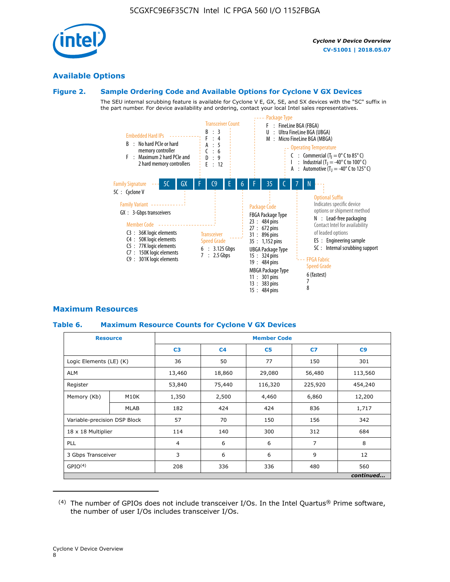

### **Available Options**

### **Figure 2. Sample Ordering Code and Available Options for Cyclone V GX Devices**

The SEU internal scrubbing feature is available for Cyclone V E, GX, SE, and SX devices with the "SC" suffix in the part number. For device availability and ordering, contact your local Intel sales representatives.



### **Maximum Resources**

### **Table 6. Maximum Resource Counts for Cyclone V GX Devices**

| <b>Resource</b>              |             | <b>Member Code</b> |                |                |         |           |   |   |
|------------------------------|-------------|--------------------|----------------|----------------|---------|-----------|---|---|
|                              |             | C <sub>3</sub>     | C <sub>4</sub> | C <sub>5</sub> | C7      | C9        |   |   |
| Logic Elements (LE) (K)      |             | 36                 | 50             | 77             | 150     | 301       |   |   |
| <b>ALM</b>                   |             | 13,460             | 18,860         | 29,080         | 56,480  | 113,560   |   |   |
| Register                     |             | 53,840             | 75,440         | 116,320        | 225,920 | 454,240   |   |   |
| Memory (Kb)                  | M10K        | 1,350              | 2,500          | 4,460          | 6,860   | 12,200    |   |   |
|                              | <b>MLAB</b> | 182                | 424            | 424            | 836     | 1,717     |   |   |
| Variable-precision DSP Block |             | 57                 | 70             | 150            | 156     | 342       |   |   |
| 18 x 18 Multiplier           |             | 114                | 140            | 300            | 312     | 684       |   |   |
| <b>PLL</b>                   |             |                    |                |                | 6       | 6         | 7 | 8 |
| 3 Gbps Transceiver           |             | 3                  | 6              | 6              | 9       | 12        |   |   |
| GPIO <sup>(4)</sup>          |             | 208                | 336            | 336            | 480     | 560       |   |   |
|                              |             |                    |                |                |         | continued |   |   |

 $(4)$  The number of GPIOs does not include transceiver I/Os. In the Intel Quartus® Prime software, the number of user I/Os includes transceiver I/Os.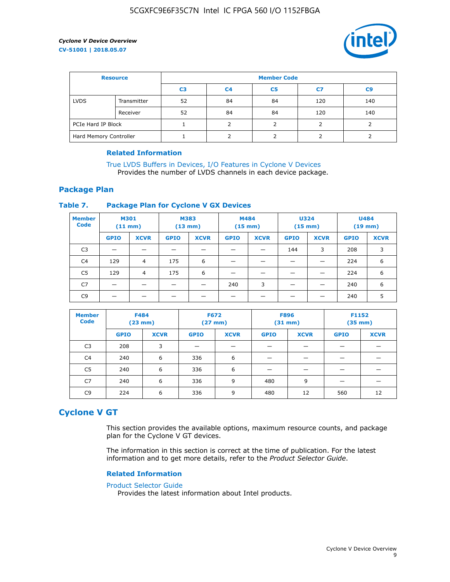

| <b>Resource</b>        |             | <b>Member Code</b> |                |                |     |                |  |  |
|------------------------|-------------|--------------------|----------------|----------------|-----|----------------|--|--|
|                        |             | C <sub>3</sub>     | C <sub>4</sub> | C <sub>5</sub> | C7  | C <sub>9</sub> |  |  |
| <b>LVDS</b>            | Transmitter | 52                 | 84             | 84             | 120 | 140            |  |  |
|                        | Receiver    | 52                 | 84             | 84             | 120 | 140            |  |  |
| PCIe Hard IP Block     |             |                    |                |                |     |                |  |  |
| Hard Memory Controller |             |                    | h              |                |     |                |  |  |

### **Related Information**

[True LVDS Buffers in Devices, I/O Features in Cyclone V Devices](https://www.altera.com/documentation/sam1403481100977.html#sam1403480885395) Provides the number of LVDS channels in each device package.

### **Package Plan**

### **Table 7. Package Plan for Cyclone V GX Devices**

| <b>Member</b><br><b>Code</b> | <b>M301</b><br>$(11$ mm) |                | <b>M383</b><br>$(13 \text{ mm})$ |             | M484        | $(15 \text{ mm})$ | <b>U324</b><br>$(15 \text{ mm})$ |             | <b>U484</b><br>$(19$ mm) |             |
|------------------------------|--------------------------|----------------|----------------------------------|-------------|-------------|-------------------|----------------------------------|-------------|--------------------------|-------------|
|                              | <b>GPIO</b>              | <b>XCVR</b>    | <b>GPIO</b>                      | <b>XCVR</b> | <b>GPIO</b> | <b>XCVR</b>       | <b>GPIO</b>                      | <b>XCVR</b> | <b>GPIO</b>              | <b>XCVR</b> |
| C <sub>3</sub>               |                          |                |                                  |             |             |                   | 144                              | 3           | 208                      | 3           |
| C <sub>4</sub>               | 129                      | $\overline{4}$ | 175                              | 6           |             |                   | –                                |             | 224                      | 6           |
| C5                           | 129                      | 4              | 175                              | 6           |             |                   |                                  |             | 224                      | 6           |
| C7                           | _                        |                |                                  |             | 240         | 3                 |                                  |             | 240                      | 6           |
| C9                           |                          |                |                                  |             |             |                   |                                  |             | 240                      | 5           |

| <b>Member</b><br><b>Code</b> | <b>F484</b> | $(23$ mm)   | <b>F672</b> | $(27$ mm $)$ | <b>F896</b><br>$(31 \text{ mm})$ |             | F1152<br>$(35 \text{ mm})$ |             |
|------------------------------|-------------|-------------|-------------|--------------|----------------------------------|-------------|----------------------------|-------------|
|                              | <b>GPIO</b> | <b>XCVR</b> | <b>GPIO</b> | <b>XCVR</b>  | <b>GPIO</b>                      | <b>XCVR</b> | <b>GPIO</b>                | <b>XCVR</b> |
| C <sub>3</sub>               | 208         | 3           |             |              |                                  |             |                            |             |
| C4                           | 240         | 6           | 336         | 6            |                                  |             |                            |             |
| C5                           | 240         | 6           | 336         | 6            |                                  |             |                            |             |
| C <sub>7</sub>               | 240         | 6           | 336         | 9            | 480                              | 9           |                            |             |
| C9                           | 224         | 6           | 336         | 9            | 480                              | 12          | 560                        | 12          |

# **Cyclone V GT**

This section provides the available options, maximum resource counts, and package plan for the Cyclone V GT devices.

The information in this section is correct at the time of publication. For the latest information and to get more details, refer to the *Product Selector Guide*.

#### **Related Information**

#### [Product Selector Guide](https://www.altera.com/products/product-selector-guide.html)

Provides the latest information about Intel products.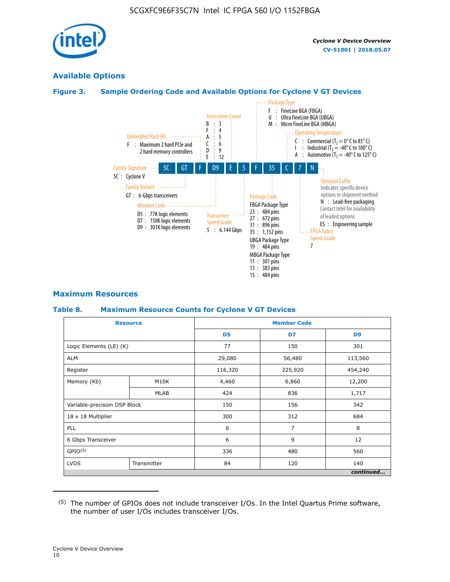

### **Available Options**

### **Figure 3. Sample Ordering Code and Available Options for Cyclone V GT Devices**



### **Maximum Resources**

#### **Table 8. Maximum Resource Counts for Cyclone V GT Devices**

|                              | <b>Resource</b> | <b>Member Code</b> |         |                |  |  |
|------------------------------|-----------------|--------------------|---------|----------------|--|--|
|                              |                 | D <sub>5</sub>     | D7      | D <sub>9</sub> |  |  |
| Logic Elements (LE) (K)      |                 | 77                 | 150     | 301            |  |  |
| <b>ALM</b>                   |                 | 29,080             | 56,480  | 113,560        |  |  |
| Register                     |                 | 116,320            | 225,920 | 454,240        |  |  |
| Memory (Kb)                  | M10K            | 4,460              | 6,860   | 12,200         |  |  |
|                              | <b>MLAB</b>     | 424                | 836     | 1,717          |  |  |
| Variable-precision DSP Block |                 | 150                | 156     | 342            |  |  |
| 18 x 18 Multiplier           |                 | 300                | 312     | 684            |  |  |
| PLL                          |                 | 6                  | 7       | 8              |  |  |
| 6 Gbps Transceiver           |                 | 6                  | 9       | 12             |  |  |
| GPIO <sup>(5)</sup>          |                 | 336                | 480     | 560            |  |  |
| <b>LVDS</b>                  | Transmitter     | 84                 | 120     | 140            |  |  |
|                              |                 |                    |         | continued      |  |  |

<sup>(5)</sup> The number of GPIOs does not include transceiver I/Os. In the Intel Quartus Prime software, the number of user I/Os includes transceiver I/Os.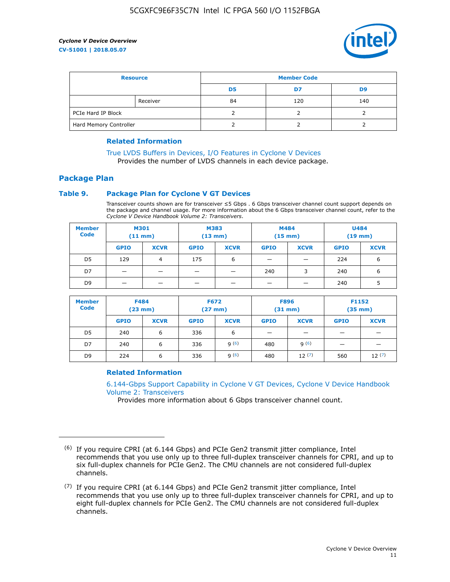

| <b>Resource</b>        |          | <b>Member Code</b> |     |     |  |  |
|------------------------|----------|--------------------|-----|-----|--|--|
|                        |          | D5                 | D7  | D9  |  |  |
|                        | Receiver | 84                 | 120 | 140 |  |  |
| PCIe Hard IP Block     |          |                    |     |     |  |  |
| Hard Memory Controller |          |                    |     |     |  |  |

### **Related Information**

[True LVDS Buffers in Devices, I/O Features in Cyclone V Devices](https://www.altera.com/documentation/sam1403481100977.html#sam1403480885395) Provides the number of LVDS channels in each device package.

# **Package Plan**

### **Table 9. Package Plan for Cyclone V GT Devices**

Transceiver counts shown are for transceiver ≤5 Gbps . 6 Gbps transceiver channel count support depends on the package and channel usage. For more information about the 6 Gbps transceiver channel count, refer to the *Cyclone V Device Handbook Volume 2: Transceivers*.

| <b>Member</b><br><b>Code</b> | <b>M301</b><br>(11 mm)   |                | M383<br>$(13 \text{ mm})$ |             | M484<br>$(15 \text{ mm})$ |             | <b>U484</b><br>$(19$ mm) |             |
|------------------------------|--------------------------|----------------|---------------------------|-------------|---------------------------|-------------|--------------------------|-------------|
|                              | <b>GPIO</b>              | <b>XCVR</b>    | <b>GPIO</b>               | <b>XCVR</b> | <b>GPIO</b>               | <b>XCVR</b> | <b>GPIO</b>              | <b>XCVR</b> |
| D <sub>5</sub>               | 129                      | $\overline{4}$ | 175                       | 6           | -                         | -           | 224                      | 6           |
| D7                           | -                        | -              |                           |             | 240                       | 3           | 240                      | 6           |
| D <sub>9</sub>               | $\overline{\phantom{0}}$ | _              |                           |             | -                         |             | 240                      | 5           |

| <b>Member</b><br><b>Code</b> | <b>F484</b><br>$(23$ mm $)$ |             | <b>F672</b><br>$(27 \text{ mm})$ |             | <b>F896</b><br>$(31$ mm $)$ |             | F1152<br>$(35$ mm $)$ |             |
|------------------------------|-----------------------------|-------------|----------------------------------|-------------|-----------------------------|-------------|-----------------------|-------------|
|                              | <b>GPIO</b>                 | <b>XCVR</b> | <b>GPIO</b>                      | <b>XCVR</b> | <b>GPIO</b>                 | <b>XCVR</b> | <b>GPIO</b>           | <b>XCVR</b> |
| D <sub>5</sub>               | 240                         | 6           | 336                              | 6           | -                           |             |                       |             |
| D7                           | 240                         | 6           | 336                              | q(6)        | 480                         | q(6)        |                       |             |
| D <sub>9</sub>               | 224                         | 6           | 336                              | 9(6)        | 480                         | 12(7)       | 560                   | 12(7)       |

### **Related Information**

[6.144-Gbps Support Capability in Cyclone V GT Devices, Cyclone V Device Handbook](https://www.altera.com/documentation/nik1409855456781.html#nik1409855410757) [Volume 2: Transceivers](https://www.altera.com/documentation/nik1409855456781.html#nik1409855410757)

Provides more information about 6 Gbps transceiver channel count.

<sup>(6)</sup> If you require CPRI (at 6.144 Gbps) and PCIe Gen2 transmit jitter compliance, Intel recommends that you use only up to three full-duplex transceiver channels for CPRI, and up to six full-duplex channels for PCIe Gen2. The CMU channels are not considered full-duplex channels.

 $(7)$  If you require CPRI (at 6.144 Gbps) and PCIe Gen2 transmit jitter compliance, Intel recommends that you use only up to three full-duplex transceiver channels for CPRI, and up to eight full-duplex channels for PCIe Gen2. The CMU channels are not considered full-duplex channels.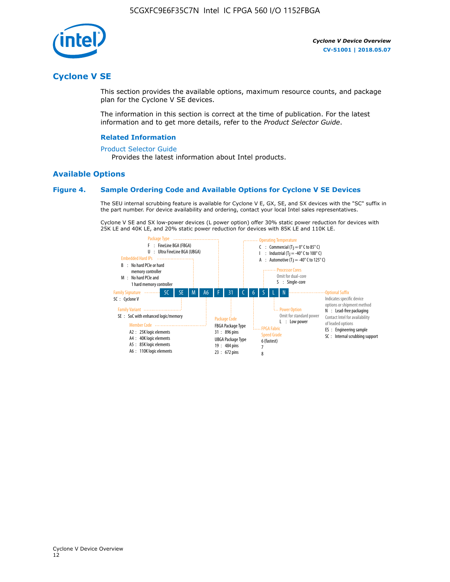

# **Cyclone V SE**

This section provides the available options, maximum resource counts, and package plan for the Cyclone V SE devices.

The information in this section is correct at the time of publication. For the latest information and to get more details, refer to the *Product Selector Guide*.

### **Related Information**

#### [Product Selector Guide](https://www.altera.com/products/product-selector-guide.html)

Provides the latest information about Intel products.

### **Available Options**

### **Figure 4. Sample Ordering Code and Available Options for Cyclone V SE Devices**

The SEU internal scrubbing feature is available for Cyclone V E, GX, SE, and SX devices with the "SC" suffix in the part number. For device availability and ordering, contact your local Intel sales representatives.

Cyclone V SE and SX low-power devices (L power option) offer 30% static power reduction for devices with 25K LE and 40K LE, and 20% static power reduction for devices with 85K LE and 110K LE.

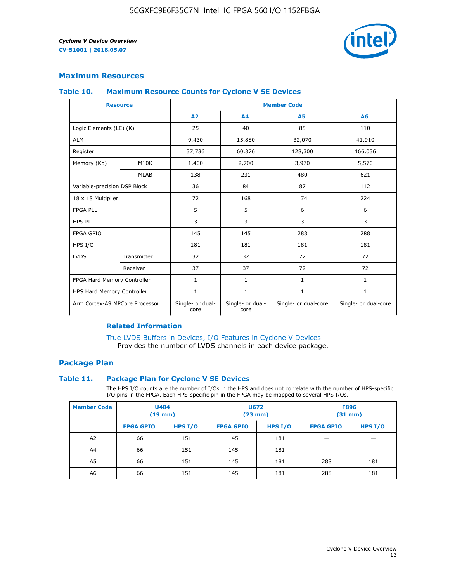

### **Maximum Resources**

### **Table 10. Maximum Resource Counts for Cyclone V SE Devices**

|                                | <b>Resource</b> | <b>Member Code</b>       |                          |                      |                      |  |
|--------------------------------|-----------------|--------------------------|--------------------------|----------------------|----------------------|--|
|                                |                 | A <sub>2</sub>           | A4                       | <b>A5</b>            | A6                   |  |
| Logic Elements (LE) (K)        |                 | 25                       | 40                       | 85                   | 110                  |  |
| <b>ALM</b>                     |                 | 9,430                    | 15,880                   | 32,070               | 41,910               |  |
| Register                       |                 | 37,736                   | 60,376                   | 128,300              | 166,036              |  |
| Memory (Kb)                    | M10K            | 1,400                    | 2,700                    | 3,970                | 5,570                |  |
|                                | <b>MLAB</b>     | 138                      | 231                      | 480                  | 621                  |  |
| Variable-precision DSP Block   |                 | 36                       | 84                       | 87                   | 112                  |  |
| 18 x 18 Multiplier             |                 | 72                       | 168                      | 174                  | 224                  |  |
| <b>FPGA PLL</b>                |                 | 5                        | 5                        | 6                    | 6                    |  |
| <b>HPS PLL</b>                 |                 | 3                        | 3                        | 3                    | 3                    |  |
| <b>FPGA GPIO</b>               |                 | 145                      | 145                      | 288                  | 288                  |  |
| HPS I/O                        |                 | 181                      | 181                      | 181                  | 181                  |  |
| <b>LVDS</b>                    | Transmitter     | 32                       | 32                       | 72                   | 72                   |  |
|                                | Receiver        | 37                       | 37                       | 72                   | 72                   |  |
| FPGA Hard Memory Controller    |                 | 1                        | $\mathbf{1}$             | $\mathbf{1}$         | $\mathbf{1}$         |  |
| HPS Hard Memory Controller     |                 | 1                        | $\mathbf{1}$             | $\mathbf{1}$         | 1                    |  |
| Arm Cortex-A9 MPCore Processor |                 | Single- or dual-<br>core | Single- or dual-<br>core | Single- or dual-core | Single- or dual-core |  |

### **Related Information**

[True LVDS Buffers in Devices, I/O Features in Cyclone V Devices](https://www.altera.com/documentation/sam1403481100977.html#sam1403480885395) Provides the number of LVDS channels in each device package.

### **Package Plan**

### **Table 11. Package Plan for Cyclone V SE Devices**

The HPS I/O counts are the number of I/Os in the HPS and does not correlate with the number of HPS-specific I/O pins in the FPGA. Each HPS-specific pin in the FPGA may be mapped to several HPS I/Os.

| <b>Member Code</b> | <b>U484</b><br>$(19$ mm) |           | <b>U672</b><br>(23 mm) |         | <b>F896</b><br>$(31$ mm $)$ |           |
|--------------------|--------------------------|-----------|------------------------|---------|-----------------------------|-----------|
|                    | <b>FPGA GPIO</b>         | HPS $I/O$ | <b>FPGA GPIO</b>       | HPS I/O | <b>FPGA GPIO</b>            | HPS $I/O$ |
| A <sub>2</sub>     | 66                       | 151       | 145                    | 181     |                             |           |
| A4                 | 66                       | 151       | 145                    | 181     |                             |           |
| A <sub>5</sub>     | 66                       | 151       | 145                    | 181     | 288                         | 181       |
| A6                 | 66                       | 151       | 145                    | 181     | 288                         | 181       |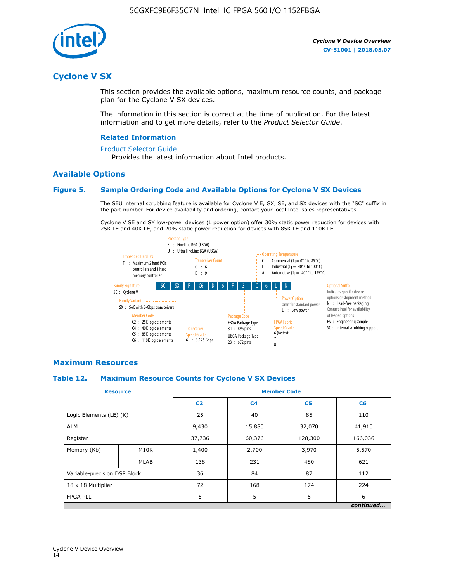

# **Cyclone V SX**

This section provides the available options, maximum resource counts, and package plan for the Cyclone V SX devices.

The information in this section is correct at the time of publication. For the latest information and to get more details, refer to the *Product Selector Guide*.

### **Related Information**

#### [Product Selector Guide](https://www.altera.com/products/product-selector-guide.html)

Provides the latest information about Intel products.

### **Available Options**

### **Figure 5. Sample Ordering Code and Available Options for Cyclone V SX Devices**

The SEU internal scrubbing feature is available for Cyclone V E, GX, SE, and SX devices with the "SC" suffix in the part number. For device availability and ordering, contact your local Intel sales representatives.

Cyclone V SE and SX low-power devices (L power option) offer 30% static power reduction for devices with 25K LE and 40K LE, and 20% static power reduction for devices with 85K LE and 110K LE.



### **Maximum Resources**

### **Table 12. Maximum Resource Counts for Cyclone V SX Devices**

|                              | <b>Resource</b> | <b>Member Code</b> |                |                |           |  |
|------------------------------|-----------------|--------------------|----------------|----------------|-----------|--|
|                              |                 | C <sub>2</sub>     | C <sub>4</sub> | C <sub>5</sub> | C6        |  |
| Logic Elements (LE) (K)      |                 | 25                 | 40             | 85             | 110       |  |
| <b>ALM</b>                   |                 | 9,430              | 15,880         | 32,070         | 41,910    |  |
| Register                     |                 | 37,736             | 60,376         | 128,300        | 166,036   |  |
| Memory (Kb)                  | M10K            | 1,400              | 2,700          | 3,970          | 5,570     |  |
|                              | <b>MLAB</b>     | 138                | 231            | 480            | 621       |  |
| Variable-precision DSP Block |                 | 36                 | 84             | 87             | 112       |  |
| 18 x 18 Multiplier           |                 | 72                 | 168            | 174            | 224       |  |
| <b>FPGA PLL</b>              |                 | 5                  | 5              | 6              | 6         |  |
|                              |                 |                    |                |                | continued |  |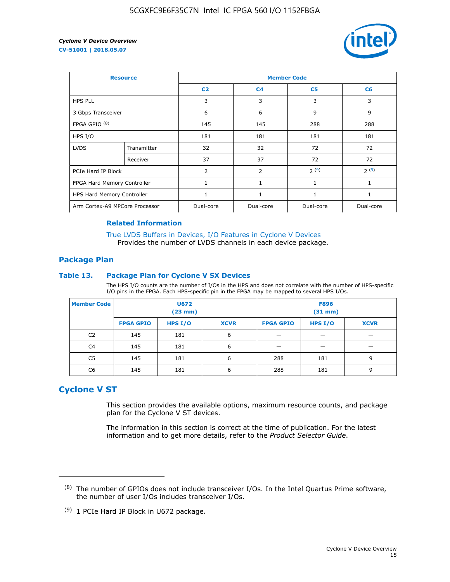

| <b>Resource</b>                |             | <b>Member Code</b> |                |                |                |  |  |
|--------------------------------|-------------|--------------------|----------------|----------------|----------------|--|--|
|                                |             | C <sub>2</sub>     | C <sub>4</sub> | C <sub>5</sub> | C <sub>6</sub> |  |  |
| <b>HPS PLL</b>                 |             | 3                  | 3              | 3              | 3              |  |  |
| 3 Gbps Transceiver             |             | 6                  | 6              | 9              | 9              |  |  |
| FPGA GPIO <sup>(8)</sup>       |             | 145                | 145            | 288            | 288            |  |  |
| HPS I/O                        |             | 181                | 181            | 181            | 181            |  |  |
| <b>LVDS</b>                    | Transmitter | 32                 | 32             | 72             | 72             |  |  |
|                                | Receiver    | 37                 | 37             | 72             | 72             |  |  |
| PCIe Hard IP Block             |             | $\overline{2}$     | 2              | 2(9)           | 2(9)           |  |  |
| FPGA Hard Memory Controller    |             | 1                  | $\mathbf{1}$   | $\mathbf{1}$   | $\mathbf{1}$   |  |  |
| HPS Hard Memory Controller     |             |                    | $\mathbf{1}$   | 1              | 1              |  |  |
| Arm Cortex-A9 MPCore Processor |             | Dual-core          | Dual-core      | Dual-core      | Dual-core      |  |  |

### **Related Information**

[True LVDS Buffers in Devices, I/O Features in Cyclone V Devices](https://www.altera.com/documentation/sam1403481100977.html#sam1403480885395) Provides the number of LVDS channels in each device package.

### **Package Plan**

### **Table 13. Package Plan for Cyclone V SX Devices**

The HPS I/O counts are the number of I/Os in the HPS and does not correlate with the number of HPS-specific I/O pins in the FPGA. Each HPS-specific pin in the FPGA may be mapped to several HPS I/Os.

| <b>Member Code</b> | U672<br>(23 mm)  |           | <b>F896</b><br>$(31$ mm $)$ |                  |         |             |
|--------------------|------------------|-----------|-----------------------------|------------------|---------|-------------|
|                    | <b>FPGA GPIO</b> | HPS $I/O$ | <b>XCVR</b>                 | <b>FPGA GPIO</b> | HPS I/O | <b>XCVR</b> |
| C <sub>2</sub>     | 145              | 181       | 6                           |                  |         |             |
| C4                 | 145              | 181       | 6                           |                  |         |             |
| C <sub>5</sub>     | 145              | 181       | 6                           | 288              | 181     | 9           |
| C6                 | 145              | 181       | 6                           | 288              | 181     | 9           |

# **Cyclone V ST**

This section provides the available options, maximum resource counts, and package plan for the Cyclone V ST devices.

The information in this section is correct at the time of publication. For the latest information and to get more details, refer to the *Product Selector Guide*.

 $(8)$  The number of GPIOs does not include transceiver I/Os. In the Intel Quartus Prime software, the number of user I/Os includes transceiver I/Os.

<sup>(9)</sup> 1 PCIe Hard IP Block in U672 package.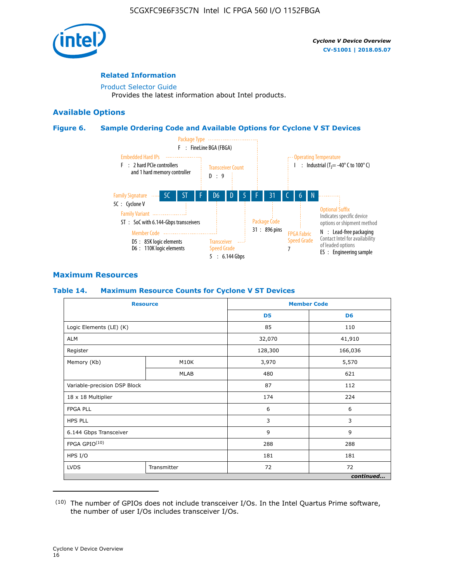

### **Related Information**

[Product Selector Guide](https://www.altera.com/products/product-selector-guide.html) Provides the latest information about Intel products.

### **Available Options**

### **Figure 6. Sample Ordering Code and Available Options for Cyclone V ST Devices**



### **Maximum Resources**

### **Table 14. Maximum Resource Counts for Cyclone V ST Devices**

| <b>Resource</b>              |             |                | <b>Member Code</b> |
|------------------------------|-------------|----------------|--------------------|
|                              |             | D <sub>5</sub> | D <sub>6</sub>     |
| Logic Elements (LE) (K)      |             | 85             | 110                |
| <b>ALM</b>                   |             | 32,070         | 41,910             |
| Register                     |             | 128,300        | 166,036            |
| Memory (Kb)                  | M10K        | 3,970          | 5,570              |
|                              | <b>MLAB</b> | 480            | 621                |
| Variable-precision DSP Block |             | 87             | 112                |
| 18 x 18 Multiplier           |             | 174            | 224                |
| <b>FPGA PLL</b>              |             | 6              | 6                  |
| <b>HPS PLL</b>               |             | 3              | 3                  |
| 6.144 Gbps Transceiver       |             | 9              | 9                  |
| FPGA GPIO(10)                |             | 288            | 288                |
| HPS I/O                      |             | 181            | 181                |
| <b>LVDS</b><br>Transmitter   |             | 72             | 72                 |
|                              |             |                | continued          |

<sup>(10)</sup> The number of GPIOs does not include transceiver I/Os. In the Intel Quartus Prime software, the number of user I/Os includes transceiver I/Os.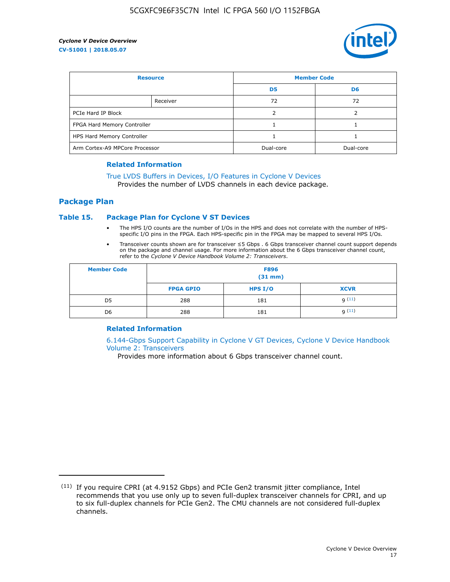

| <b>Resource</b>                |          | <b>Member Code</b> |                |  |
|--------------------------------|----------|--------------------|----------------|--|
|                                |          | D <sub>5</sub>     | D <sub>6</sub> |  |
|                                | Receiver | 72                 | 72             |  |
| PCIe Hard IP Block             |          |                    |                |  |
| FPGA Hard Memory Controller    |          |                    |                |  |
| HPS Hard Memory Controller     |          |                    |                |  |
| Arm Cortex-A9 MPCore Processor |          | Dual-core          | Dual-core      |  |

### **Related Information**

# [True LVDS Buffers in Devices, I/O Features in Cyclone V Devices](https://www.altera.com/documentation/sam1403481100977.html#sam1403480885395)

Provides the number of LVDS channels in each device package.

### **Package Plan**

### **Table 15. Package Plan for Cyclone V ST Devices**

- The HPS I/O counts are the number of I/Os in the HPS and does not correlate with the number of HPSspecific I/O pins in the FPGA. Each HPS-specific pin in the FPGA may be mapped to several HPS I/Os.
- Transceiver counts shown are for transceiver ≤5 Gbps . 6 Gbps transceiver channel count support depends on the package and channel usage. For more information about the 6 Gbps transceiver channel count, refer to the *Cyclone V Device Handbook Volume 2: Transceivers*.

| <b>Member Code</b> | <b>F896</b><br>$(31$ mm $)$ |           |             |  |  |
|--------------------|-----------------------------|-----------|-------------|--|--|
|                    | <b>FPGA GPIO</b>            | HPS $I/O$ | <b>XCVR</b> |  |  |
| D <sub>5</sub>     | 288                         | 181       | 9(11)       |  |  |
| D <sub>6</sub>     | 288                         | 181       | q(11)       |  |  |

### **Related Information**

[6.144-Gbps Support Capability in Cyclone V GT Devices, Cyclone V Device Handbook](https://www.altera.com/documentation/nik1409855456781.html#nik1409855410757) [Volume 2: Transceivers](https://www.altera.com/documentation/nik1409855456781.html#nik1409855410757)

Provides more information about 6 Gbps transceiver channel count.

<sup>(11)</sup> If you require CPRI (at 4.9152 Gbps) and PCIe Gen2 transmit jitter compliance, Intel recommends that you use only up to seven full-duplex transceiver channels for CPRI, and up to six full-duplex channels for PCIe Gen2. The CMU channels are not considered full-duplex channels.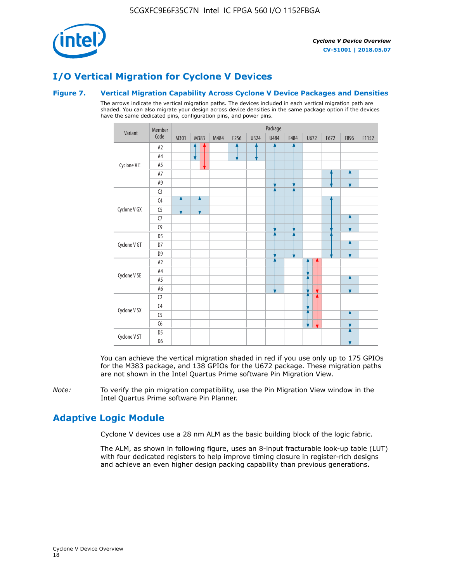

# **I/O Vertical Migration for Cyclone V Devices**

### **Figure 7. Vertical Migration Capability Across Cyclone V Device Packages and Densities**

The arrows indicate the vertical migration paths. The devices included in each vertical migration path are shaded. You can also migrate your design across device densities in the same package option if the devices have the same dedicated pins, configuration pins, and power pins.



You can achieve the vertical migration shaded in red if you use only up to 175 GPIOs for the M383 package, and 138 GPIOs for the U672 package. These migration paths are not shown in the Intel Quartus Prime software Pin Migration View.

*Note:* To verify the pin migration compatibility, use the Pin Migration View window in the Intel Quartus Prime software Pin Planner.

# **Adaptive Logic Module**

Cyclone V devices use a 28 nm ALM as the basic building block of the logic fabric.

The ALM, as shown in following figure, uses an 8-input fracturable look-up table (LUT) with four dedicated registers to help improve timing closure in register-rich designs and achieve an even higher design packing capability than previous generations.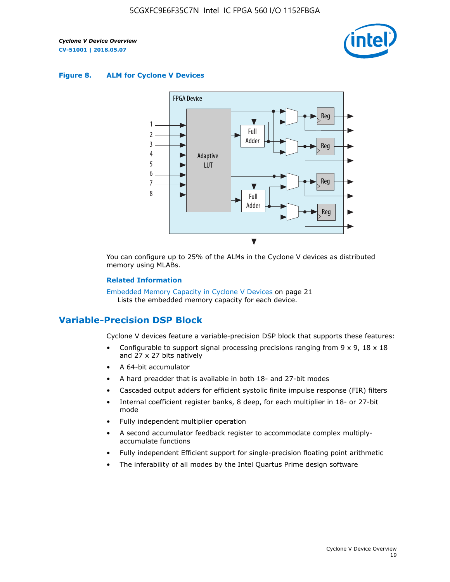

### **Figure 8. ALM for Cyclone V Devices**



You can configure up to 25% of the ALMs in the Cyclone V devices as distributed memory using MLABs.

### **Related Information**

Embedded Memory Capacity in Cyclone V Devices on page 21 Lists the embedded memory capacity for each device.

# **Variable-Precision DSP Block**

Cyclone V devices feature a variable-precision DSP block that supports these features:

- Configurable to support signal processing precisions ranging from  $9 \times 9$ ,  $18 \times 18$ and 27 x 27 bits natively
- A 64-bit accumulator
- A hard preadder that is available in both 18- and 27-bit modes
- Cascaded output adders for efficient systolic finite impulse response (FIR) filters
- Internal coefficient register banks, 8 deep, for each multiplier in 18- or 27-bit mode
- Fully independent multiplier operation
- A second accumulator feedback register to accommodate complex multiplyaccumulate functions
- Fully independent Efficient support for single-precision floating point arithmetic
- The inferability of all modes by the Intel Quartus Prime design software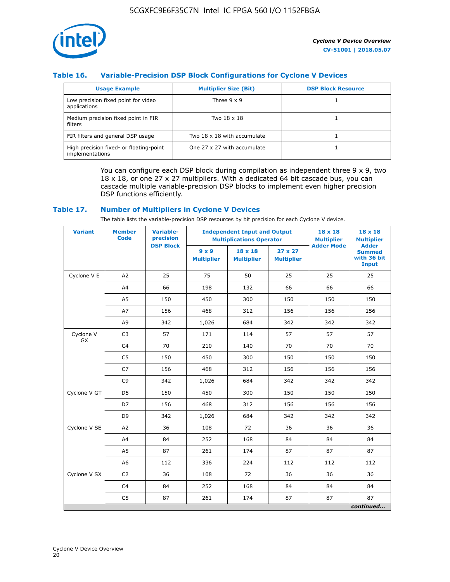

### **Table 16. Variable-Precision DSP Block Configurations for Cyclone V Devices**

| <b>Usage Example</b>                                       | <b>Multiplier Size (Bit)</b> | <b>DSP Block Resource</b> |
|------------------------------------------------------------|------------------------------|---------------------------|
| Low precision fixed point for video<br>applications        | Three $9 \times 9$           |                           |
| Medium precision fixed point in FIR<br>filters             | Two 18 x 18                  |                           |
| FIR filters and general DSP usage                          | Two 18 x 18 with accumulate  |                           |
| High precision fixed- or floating-point<br>implementations | One 27 x 27 with accumulate  |                           |

You can configure each DSP block during compilation as independent three  $9 \times 9$ , two 18 x 18, or one 27 x 27 multipliers. With a dedicated 64 bit cascade bus, you can cascade multiple variable-precision DSP blocks to implement even higher precision DSP functions efficiently.

### **Table 17. Number of Multipliers in Cyclone V Devices**

The table lists the variable-precision DSP resources by bit precision for each Cyclone V device.

| <b>Variant</b>  | <b>Member</b><br>Code | <b>Variable-</b><br>precision | <b>Independent Input and Output</b><br><b>Multiplications Operator</b> |                                     |                                     | 18 x 18<br><b>Multiplier</b> | $18 \times 18$<br><b>Multiplier</b>                          |
|-----------------|-----------------------|-------------------------------|------------------------------------------------------------------------|-------------------------------------|-------------------------------------|------------------------------|--------------------------------------------------------------|
|                 |                       | <b>DSP Block</b>              | $9 \times 9$<br><b>Multiplier</b>                                      | $18 \times 18$<br><b>Multiplier</b> | $27 \times 27$<br><b>Multiplier</b> | <b>Adder Mode</b>            | <b>Adder</b><br><b>Summed</b><br>with 36 bit<br><b>Input</b> |
| Cyclone V E     | A2                    | 25                            | 75                                                                     | 50                                  | 25                                  | 25                           | 25                                                           |
|                 | A4                    | 66                            | 198                                                                    | 132                                 | 66                                  | 66                           | 66                                                           |
|                 | A <sub>5</sub>        | 150                           | 450                                                                    | 300                                 | 150                                 | 150                          | 150                                                          |
|                 | A7                    | 156                           | 468                                                                    | 312                                 | 156                                 | 156                          | 156                                                          |
|                 | A9                    | 342                           | 1,026                                                                  | 684                                 | 342                                 | 342                          | 342                                                          |
| Cyclone V<br>GX | C <sub>3</sub>        | 57                            | 171                                                                    | 114                                 | 57                                  | 57                           | 57                                                           |
|                 | C <sub>4</sub>        | 70                            | 210                                                                    | 140                                 | 70                                  | 70                           | 70                                                           |
|                 | C <sub>5</sub>        | 150                           | 450                                                                    | 300                                 | 150                                 | 150                          | 150                                                          |
|                 | C7                    | 156                           | 468                                                                    | 312                                 | 156                                 | 156                          | 156                                                          |
|                 | C <sub>9</sub>        | 342                           | 1,026                                                                  | 684                                 | 342                                 | 342                          | 342                                                          |
| Cyclone V GT    | D <sub>5</sub>        | 150                           | 450                                                                    | 300                                 | 150                                 | 150                          | 150                                                          |
|                 | D7                    | 156                           | 468                                                                    | 312                                 | 156                                 | 156                          | 156                                                          |
|                 | D <sub>9</sub>        | 342                           | 1,026                                                                  | 684                                 | 342                                 | 342                          | 342                                                          |
| Cyclone V SE    | A <sub>2</sub>        | 36                            | 108                                                                    | 72                                  | 36                                  | 36                           | 36                                                           |
|                 | A4                    | 84                            | 252                                                                    | 168                                 | 84                                  | 84                           | 84                                                           |
|                 | A5                    | 87                            | 261                                                                    | 174                                 | 87                                  | 87                           | 87                                                           |
|                 | A <sub>6</sub>        | 112                           | 336                                                                    | 224                                 | 112                                 | 112                          | 112                                                          |
| Cyclone V SX    | C <sub>2</sub>        | 36                            | 108                                                                    | 72                                  | 36                                  | 36                           | 36                                                           |
|                 | C <sub>4</sub>        | 84                            | 252                                                                    | 168                                 | 84                                  | 84                           | 84                                                           |
|                 | C <sub>5</sub>        | 87                            | 261                                                                    | 174                                 | 87                                  | 87                           | 87                                                           |
|                 |                       |                               |                                                                        |                                     |                                     |                              | continued                                                    |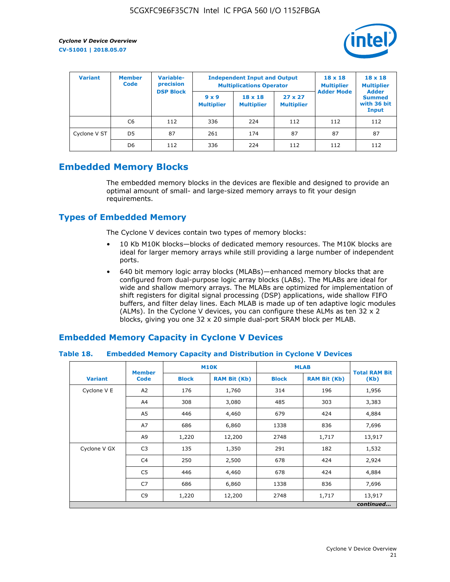

| <b>Variant</b> | <b>Member</b><br><b>Code</b> | Variable-<br>precision |                                   | <b>Independent Input and Output</b><br><b>Multiplications Operator</b> | $18 \times 18$<br><b>Multiplier</b> | $18 \times 18$<br><b>Multiplier</b><br><b>Adder</b> |                                       |
|----------------|------------------------------|------------------------|-----------------------------------|------------------------------------------------------------------------|-------------------------------------|-----------------------------------------------------|---------------------------------------|
|                |                              | <b>DSP Block</b>       | $9 \times 9$<br><b>Multiplier</b> | $18 \times 18$<br><b>Multiplier</b>                                    | $27 \times 27$<br><b>Multiplier</b> | <b>Adder Mode</b>                                   | <b>Summed</b><br>with 36 bit<br>Input |
|                | C6                           | 112                    | 336                               | 224                                                                    | 112                                 | 112                                                 | 112                                   |
| Cyclone V ST   | D <sub>5</sub>               | 87                     | 261                               | 174                                                                    | 87                                  | 87                                                  | 87                                    |
|                | D <sub>6</sub>               | 112                    | 336                               | 224                                                                    | 112                                 | 112                                                 | 112                                   |

# **Embedded Memory Blocks**

The embedded memory blocks in the devices are flexible and designed to provide an optimal amount of small- and large-sized memory arrays to fit your design requirements.

# **Types of Embedded Memory**

The Cyclone V devices contain two types of memory blocks:

- 10 Kb M10K blocks—blocks of dedicated memory resources. The M10K blocks are ideal for larger memory arrays while still providing a large number of independent ports.
- 640 bit memory logic array blocks (MLABs)—enhanced memory blocks that are configured from dual-purpose logic array blocks (LABs). The MLABs are ideal for wide and shallow memory arrays. The MLABs are optimized for implementation of shift registers for digital signal processing (DSP) applications, wide shallow FIFO buffers, and filter delay lines. Each MLAB is made up of ten adaptive logic modules (ALMs). In the Cyclone V devices, you can configure these ALMs as ten 32 x 2 blocks, giving you one 32 x 20 simple dual-port SRAM block per MLAB.

# **Embedded Memory Capacity in Cyclone V Devices**

### **Table 18. Embedded Memory Capacity and Distribution in Cyclone V Devices**

|                | <b>Member</b>  | <b>M10K</b>  |                     | <b>MLAB</b>  | <b>Total RAM Bit</b> |        |  |  |  |
|----------------|----------------|--------------|---------------------|--------------|----------------------|--------|--|--|--|
| <b>Variant</b> | <b>Code</b>    | <b>Block</b> | <b>RAM Bit (Kb)</b> | <b>Block</b> | <b>RAM Bit (Kb)</b>  | (Kb)   |  |  |  |
| Cyclone V E    | A2             | 176          | 1,760               | 314          | 196                  | 1,956  |  |  |  |
|                | A4             | 308          | 3,080               | 485          | 303                  | 3,383  |  |  |  |
|                | A5             | 446          | 4,460               | 679          | 424                  | 4,884  |  |  |  |
|                | A7             | 686          | 6,860               | 1338         | 836                  | 7,696  |  |  |  |
|                | A9             | 1,220        | 12,200              | 2748         | 1,717                | 13,917 |  |  |  |
| Cyclone V GX   | C <sub>3</sub> | 135          | 1,350               | 291          | 182                  | 1,532  |  |  |  |
|                | C4             | 250          | 2,500               | 678          | 424                  | 2,924  |  |  |  |
|                | C5             | 446          | 4,460               | 678          | 424                  | 4,884  |  |  |  |
|                | C7             | 686          | 6,860               | 1338         | 836                  | 7,696  |  |  |  |
|                | C <sub>9</sub> | 1,220        | 12,200              | 2748         | 1,717                | 13,917 |  |  |  |
|                | continued      |              |                     |              |                      |        |  |  |  |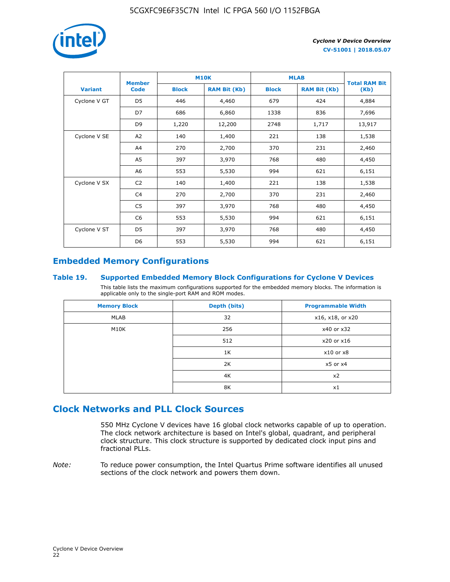

|                | <b>Member</b>  | <b>M10K</b>                         |        | <b>MLAB</b>  | <b>Total RAM Bit</b> |        |
|----------------|----------------|-------------------------------------|--------|--------------|----------------------|--------|
| <b>Variant</b> | <b>Code</b>    | <b>Block</b><br><b>RAM Bit (Kb)</b> |        | <b>Block</b> | <b>RAM Bit (Kb)</b>  | (Kb)   |
| Cyclone V GT   | D <sub>5</sub> | 446                                 | 4,460  | 679          | 424                  | 4,884  |
|                | D7             | 686                                 | 6,860  | 1338         | 836                  | 7,696  |
|                | D <sub>9</sub> | 1,220                               | 12,200 | 2748         | 1,717                | 13,917 |
| Cyclone V SE   | A <sub>2</sub> | 140                                 | 1,400  | 221          | 138                  | 1,538  |
|                | A4             | 270                                 | 2,700  | 370          | 231                  | 2,460  |
|                | A5             | 397                                 | 3,970  | 768          | 480                  | 4,450  |
|                | A6             | 553                                 | 5,530  | 994          | 621                  | 6,151  |
| Cyclone V SX   | C <sub>2</sub> | 140                                 | 1,400  | 221          | 138                  | 1,538  |
|                | C4             | 270                                 | 2,700  | 370          | 231                  | 2,460  |
|                | C5             | 397                                 | 3,970  | 768          | 480                  | 4,450  |
|                | C <sub>6</sub> | 553                                 | 5,530  | 994          | 621                  | 6,151  |
| Cyclone V ST   | D <sub>5</sub> | 397                                 | 3,970  | 768          | 480                  | 4,450  |
|                | D <sub>6</sub> | 553                                 | 5,530  | 994          | 621                  | 6,151  |

# **Embedded Memory Configurations**

### **Table 19. Supported Embedded Memory Block Configurations for Cyclone V Devices**

This table lists the maximum configurations supported for the embedded memory blocks. The information is applicable only to the single-port RAM and ROM modes.

| <b>Memory Block</b> | Depth (bits) | <b>Programmable Width</b> |
|---------------------|--------------|---------------------------|
| MLAB                | 32           | x16, x18, or x20          |
| M10K                | 256          | x40 or x32                |
|                     | 512          | x20 or x16                |
|                     | 1K           | $x10$ or $x8$             |
|                     | 2K           | $x5$ or $x4$              |
|                     | 4K           | x2                        |
|                     | 8K           | x1                        |

# **Clock Networks and PLL Clock Sources**

550 MHz Cyclone V devices have 16 global clock networks capable of up to operation. The clock network architecture is based on Intel's global, quadrant, and peripheral clock structure. This clock structure is supported by dedicated clock input pins and fractional PLLs.

*Note:* To reduce power consumption, the Intel Quartus Prime software identifies all unused sections of the clock network and powers them down.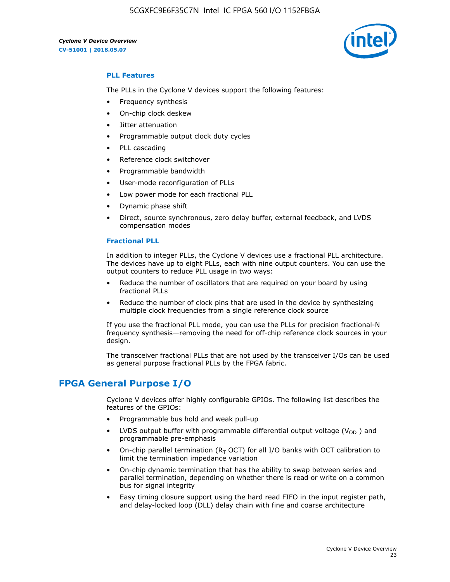

### **PLL Features**

The PLLs in the Cyclone V devices support the following features:

- Frequency synthesis
- On-chip clock deskew
- Jitter attenuation
- Programmable output clock duty cycles
- PLL cascading
- Reference clock switchover
- Programmable bandwidth
- User-mode reconfiguration of PLLs
- Low power mode for each fractional PLL
- Dynamic phase shift
- Direct, source synchronous, zero delay buffer, external feedback, and LVDS compensation modes

#### **Fractional PLL**

In addition to integer PLLs, the Cyclone V devices use a fractional PLL architecture. The devices have up to eight PLLs, each with nine output counters. You can use the output counters to reduce PLL usage in two ways:

- Reduce the number of oscillators that are required on your board by using fractional PLLs
- Reduce the number of clock pins that are used in the device by synthesizing multiple clock frequencies from a single reference clock source

If you use the fractional PLL mode, you can use the PLLs for precision fractional-N frequency synthesis—removing the need for off-chip reference clock sources in your design.

The transceiver fractional PLLs that are not used by the transceiver I/Os can be used as general purpose fractional PLLs by the FPGA fabric.

# **FPGA General Purpose I/O**

Cyclone V devices offer highly configurable GPIOs. The following list describes the features of the GPIOs:

- Programmable bus hold and weak pull-up
- LVDS output buffer with programmable differential output voltage ( $V_{OD}$ ) and programmable pre-emphasis
- On-chip parallel termination ( $R<sub>T</sub>$  OCT) for all I/O banks with OCT calibration to limit the termination impedance variation
- On-chip dynamic termination that has the ability to swap between series and parallel termination, depending on whether there is read or write on a common bus for signal integrity
- Easy timing closure support using the hard read FIFO in the input register path, and delay-locked loop (DLL) delay chain with fine and coarse architecture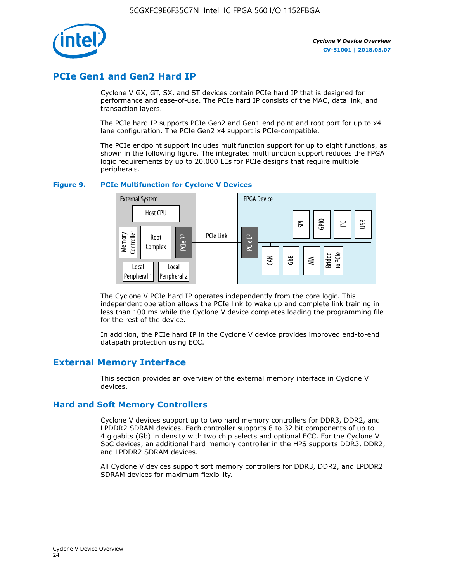

# **PCIe Gen1 and Gen2 Hard IP**

Cyclone V GX, GT, SX, and ST devices contain PCIe hard IP that is designed for performance and ease-of-use. The PCIe hard IP consists of the MAC, data link, and transaction layers.

The PCIe hard IP supports PCIe Gen2 and Gen1 end point and root port for up to x4 lane configuration. The PCIe Gen2 x4 support is PCIe-compatible.

The PCIe endpoint support includes multifunction support for up to eight functions, as shown in the following figure. The integrated multifunction support reduces the FPGA logic requirements by up to 20,000 LEs for PCIe designs that require multiple peripherals.

### **Figure 9. PCIe Multifunction for Cyclone V Devices**



The Cyclone V PCIe hard IP operates independently from the core logic. This independent operation allows the PCIe link to wake up and complete link training in less than 100 ms while the Cyclone V device completes loading the programming file for the rest of the device.

In addition, the PCIe hard IP in the Cyclone V device provides improved end-to-end datapath protection using ECC.

# **External Memory Interface**

This section provides an overview of the external memory interface in Cyclone V devices.

### **Hard and Soft Memory Controllers**

Cyclone V devices support up to two hard memory controllers for DDR3, DDR2, and LPDDR2 SDRAM devices. Each controller supports 8 to 32 bit components of up to 4 gigabits (Gb) in density with two chip selects and optional ECC. For the Cyclone V SoC devices, an additional hard memory controller in the HPS supports DDR3, DDR2, and LPDDR2 SDRAM devices.

All Cyclone V devices support soft memory controllers for DDR3, DDR2, and LPDDR2 SDRAM devices for maximum flexibility.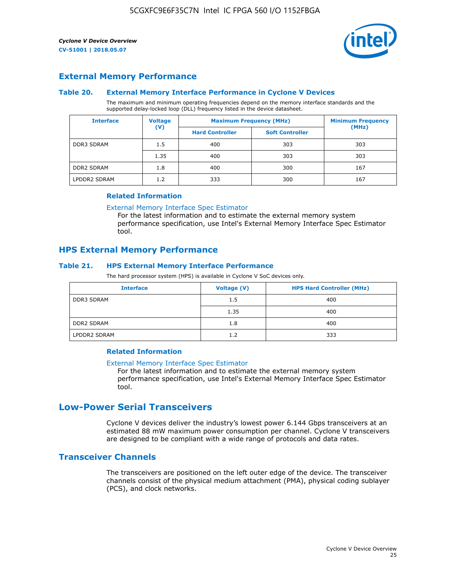

### **External Memory Performance**

### **Table 20. External Memory Interface Performance in Cyclone V Devices**

The maximum and minimum operating frequencies depend on the memory interface standards and the supported delay-locked loop (DLL) frequency listed in the device datasheet.

| <b>Voltage</b><br><b>Interface</b> |                | <b>Maximum Frequency (MHz)</b> | <b>Minimum Frequency</b> |       |
|------------------------------------|----------------|--------------------------------|--------------------------|-------|
|                                    | $(\mathsf{V})$ | <b>Hard Controller</b>         | <b>Soft Controller</b>   | (MHz) |
| <b>DDR3 SDRAM</b>                  | 1.5            | 400                            | 303                      | 303   |
|                                    | 1.35           | 400                            | 303                      | 303   |
| <b>DDR2 SDRAM</b>                  | 1.8            | 400                            | 300                      | 167   |
| LPDDR2 SDRAM                       | 1.2            | 333                            | 300                      | 167   |

### **Related Information**

[External Memory Interface Spec Estimator](https://www.altera.com/solutions/technology/external-memory/spec-estimator.html)

For the latest information and to estimate the external memory system performance specification, use Intel's External Memory Interface Spec Estimator tool.

### **HPS External Memory Performance**

### **Table 21. HPS External Memory Interface Performance**

The hard processor system (HPS) is available in Cyclone V SoC devices only.

| <b>Interface</b>  | Voltage (V) | <b>HPS Hard Controller (MHz)</b> |
|-------------------|-------------|----------------------------------|
| <b>DDR3 SDRAM</b> | 1.5         | 400                              |
|                   | 1.35        | 400                              |
| <b>DDR2 SDRAM</b> | 1.8         | 400                              |
| LPDDR2 SDRAM      | 1.2         | 333                              |

### **Related Information**

#### [External Memory Interface Spec Estimator](https://www.altera.com/solutions/technology/external-memory/spec-estimator.html)

For the latest information and to estimate the external memory system performance specification, use Intel's External Memory Interface Spec Estimator tool.

# **Low-Power Serial Transceivers**

Cyclone V devices deliver the industry's lowest power 6.144 Gbps transceivers at an estimated 88 mW maximum power consumption per channel. Cyclone V transceivers are designed to be compliant with a wide range of protocols and data rates.

### **Transceiver Channels**

The transceivers are positioned on the left outer edge of the device. The transceiver channels consist of the physical medium attachment (PMA), physical coding sublayer (PCS), and clock networks.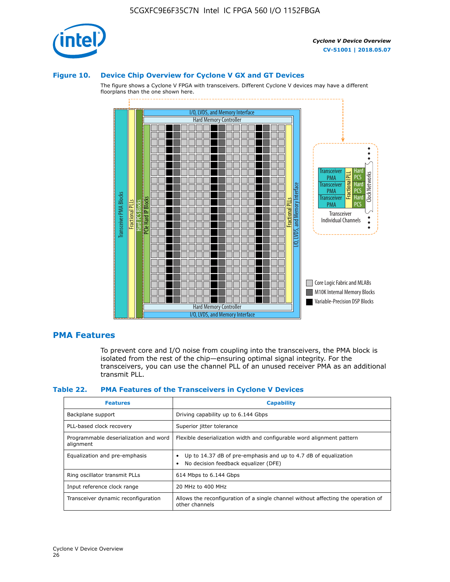

### **Figure 10. Device Chip Overview for Cyclone V GX and GT Devices**

The figure shows a Cyclone V FPGA with transceivers. Different Cyclone V devices may have a different floorplans than the one shown here.



### **PMA Features**

To prevent core and I/O noise from coupling into the transceivers, the PMA block is isolated from the rest of the chip—ensuring optimal signal integrity. For the transceivers, you can use the channel PLL of an unused receiver PMA as an additional transmit PLL.

#### **Table 22. PMA Features of the Transceivers in Cyclone V Devices**

| <b>Features</b>                                    | <b>Capability</b>                                                                                       |
|----------------------------------------------------|---------------------------------------------------------------------------------------------------------|
| Backplane support                                  | Driving capability up to 6.144 Gbps                                                                     |
| PLL-based clock recovery                           | Superior jitter tolerance                                                                               |
| Programmable deserialization and word<br>alignment | Flexible deserialization width and configurable word alignment pattern                                  |
| Equalization and pre-emphasis                      | Up to 14.37 dB of pre-emphasis and up to 4.7 dB of equalization<br>No decision feedback equalizer (DFE) |
| Ring oscillator transmit PLLs                      | 614 Mbps to 6.144 Gbps                                                                                  |
| Input reference clock range                        | 20 MHz to 400 MHz                                                                                       |
| Transceiver dynamic reconfiguration                | Allows the reconfiguration of a single channel without affecting the operation of<br>other channels     |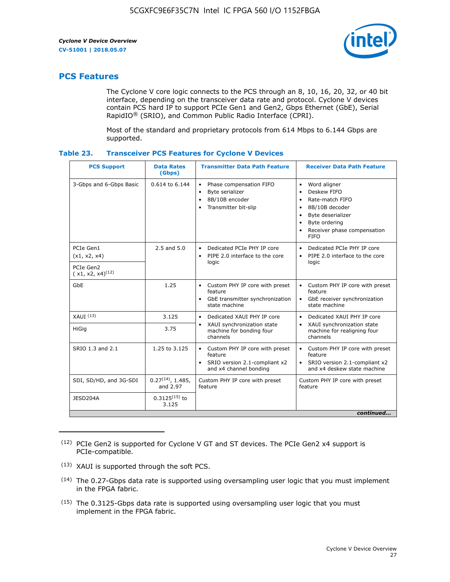

# **PCS Features**

The Cyclone V core logic connects to the PCS through an 8, 10, 16, 20, 32, or 40 bit interface, depending on the transceiver data rate and protocol. Cyclone V devices contain PCS hard IP to support PCIe Gen1 and Gen2, Gbps Ethernet (GbE), Serial RapidIO® (SRIO), and Common Public Radio Interface (CPRI).

Most of the standard and proprietary protocols from 614 Mbps to 6.144 Gbps are supported.

| Table 23. |  | <b>Transceiver PCS Features for Cyclone V Devices</b> |
|-----------|--|-------------------------------------------------------|
|           |  |                                                       |

| <b>PCS Support</b>                 | <b>Data Rates</b><br>(Gbps)        | <b>Transmitter Data Path Feature</b>                                                                         | <b>Receiver Data Path Feature</b>                                                                                                                                                                                                  |  |  |
|------------------------------------|------------------------------------|--------------------------------------------------------------------------------------------------------------|------------------------------------------------------------------------------------------------------------------------------------------------------------------------------------------------------------------------------------|--|--|
| 3-Gbps and 6-Gbps Basic            | 0.614 to 6.144                     | • Phase compensation FIFO<br>Byte serializer<br>8B/10B encoder<br>Transmitter bit-slip                       | Word aligner<br>$\bullet$<br>Deskew FIFO<br>$\bullet$<br>Rate-match FIFO<br>$\bullet$<br>8B/10B decoder<br>$\bullet$<br>Byte deserializer<br>$\bullet$<br>Byte ordering<br>$\bullet$<br>Receiver phase compensation<br><b>FIFO</b> |  |  |
| PCIe Gen1<br>(x1, x2, x4)          | $2.5$ and $5.0$                    | Dedicated PCIe PHY IP core<br>PIPE 2.0 interface to the core<br>$\bullet$<br>logic                           | Dedicated PCIe PHY IP core<br>$\bullet$<br>PIPE 2.0 interface to the core<br>$\bullet$<br>logic                                                                                                                                    |  |  |
| PCIe Gen2<br>$(x1, x2, x4)^{(12)}$ |                                    |                                                                                                              |                                                                                                                                                                                                                                    |  |  |
| GbE                                | 1.25                               | • Custom PHY IP core with preset<br>feature<br>GbE transmitter synchronization<br>$\bullet$<br>state machine | • Custom PHY IP core with preset<br>feature<br>GbE receiver synchronization<br>state machine                                                                                                                                       |  |  |
| $XAUI$ $(13)$                      | 3.125                              | Dedicated XAUI PHY IP core<br>$\bullet$                                                                      | Dedicated XAUI PHY IP core<br>$\bullet$                                                                                                                                                                                            |  |  |
| <b>HiGig</b>                       | 3.75                               | XAUI synchronization state<br>$\bullet$<br>machine for bonding four<br>channels                              | XAUI synchronization state<br>$\bullet$<br>machine for realigning four<br>channels                                                                                                                                                 |  |  |
| SRIO 1.3 and 2.1                   | 1.25 to 3.125                      | • Custom PHY IP core with preset<br>feature<br>• SRIO version 2.1-compliant x2<br>and x4 channel bonding     | • Custom PHY IP core with preset<br>feature<br>• SRIO version 2.1-compliant x2<br>and x4 deskew state machine                                                                                                                      |  |  |
| SDI, SD/HD, and 3G-SDI             | $0.27^{(14)}$ , 1.485,<br>and 2.97 | Custom PHY IP core with preset<br>feature                                                                    | Custom PHY IP core with preset<br>feature                                                                                                                                                                                          |  |  |
| JESD204A                           | $0.3125^{(15)}$ to<br>3.125        |                                                                                                              |                                                                                                                                                                                                                                    |  |  |
| continued                          |                                    |                                                                                                              |                                                                                                                                                                                                                                    |  |  |

<sup>(12)</sup> PCIe Gen2 is supported for Cyclone V GT and ST devices. The PCIe Gen2 x4 support is PCIe-compatible.

<sup>(13)</sup> XAUI is supported through the soft PCS.

<sup>(14)</sup> The 0.27-Gbps data rate is supported using oversampling user logic that you must implement in the FPGA fabric.

<sup>(15)</sup> The 0.3125-Gbps data rate is supported using oversampling user logic that you must implement in the FPGA fabric.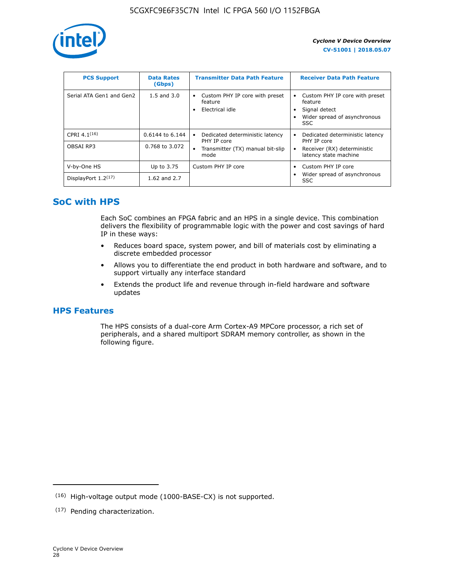

| <b>PCS Support</b>       | <b>Data Rates</b><br>(Gbps) | <b>Transmitter Data Path Feature</b>                         | <b>Receiver Data Path Feature</b>                                                                        |
|--------------------------|-----------------------------|--------------------------------------------------------------|----------------------------------------------------------------------------------------------------------|
| Serial ATA Gen1 and Gen2 | $1.5$ and $3.0$             | Custom PHY IP core with preset<br>feature<br>Electrical idle | Custom PHY IP core with preset<br>feature<br>Signal detect<br>Wider spread of asynchronous<br><b>SSC</b> |
| CPRI 4.1 $(16)$          | $0.6144$ to 6.144           | Dedicated deterministic latency<br>٠<br>PHY IP core          | Dedicated deterministic latency<br>PHY IP core                                                           |
| OBSAI RP3                | 0.768 to 3.072              | Transmitter (TX) manual bit-slip<br>٠<br>mode                | Receiver (RX) deterministic<br>latency state machine                                                     |
| V-by-One HS              | Up to 3.75                  | Custom PHY IP core                                           | Custom PHY IP core                                                                                       |
| DisplayPort $1.2^{(17)}$ | 1.62 and $2.7$              |                                                              | Wider spread of asynchronous<br><b>SSC</b>                                                               |

# **SoC with HPS**

Each SoC combines an FPGA fabric and an HPS in a single device. This combination delivers the flexibility of programmable logic with the power and cost savings of hard IP in these ways:

- Reduces board space, system power, and bill of materials cost by eliminating a discrete embedded processor
- Allows you to differentiate the end product in both hardware and software, and to support virtually any interface standard
- Extends the product life and revenue through in-field hardware and software updates

# **HPS Features**

The HPS consists of a dual-core Arm Cortex-A9 MPCore processor, a rich set of peripherals, and a shared multiport SDRAM memory controller, as shown in the following figure.

<sup>(16)</sup> High-voltage output mode (1000-BASE-CX) is not supported.

<sup>(17)</sup> Pending characterization.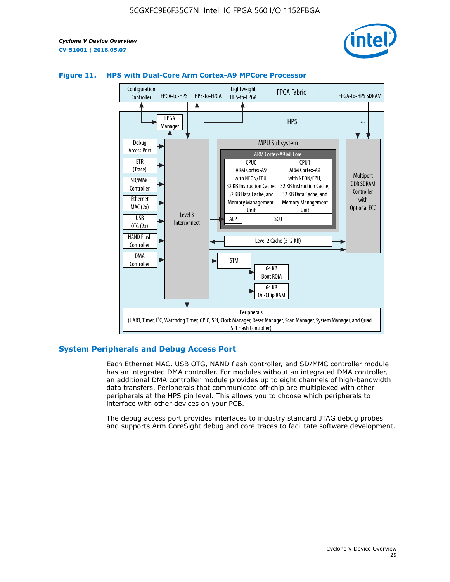



### **Figure 11. HPS with Dual-Core Arm Cortex-A9 MPCore Processor**

### **System Peripherals and Debug Access Port**

Each Ethernet MAC, USB OTG, NAND flash controller, and SD/MMC controller module has an integrated DMA controller. For modules without an integrated DMA controller, an additional DMA controller module provides up to eight channels of high-bandwidth data transfers. Peripherals that communicate off-chip are multiplexed with other peripherals at the HPS pin level. This allows you to choose which peripherals to interface with other devices on your PCB.

The debug access port provides interfaces to industry standard JTAG debug probes and supports Arm CoreSight debug and core traces to facilitate software development.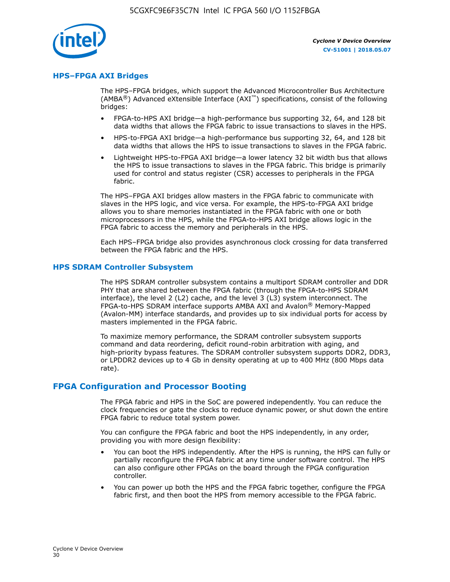

### **HPS–FPGA AXI Bridges**

The HPS–FPGA bridges, which support the Advanced Microcontroller Bus Architecture (AMBA<sup>®</sup>) Advanced eXtensible Interface (AXI<sup>™</sup>) specifications, consist of the following bridges:

- FPGA-to-HPS AXI bridge—a high-performance bus supporting 32, 64, and 128 bit data widths that allows the FPGA fabric to issue transactions to slaves in the HPS.
- HPS-to-FPGA AXI bridge—a high-performance bus supporting 32, 64, and 128 bit data widths that allows the HPS to issue transactions to slaves in the FPGA fabric.
- Lightweight HPS-to-FPGA AXI bridge—a lower latency 32 bit width bus that allows the HPS to issue transactions to slaves in the FPGA fabric. This bridge is primarily used for control and status register (CSR) accesses to peripherals in the FPGA fabric.

The HPS–FPGA AXI bridges allow masters in the FPGA fabric to communicate with slaves in the HPS logic, and vice versa. For example, the HPS-to-FPGA AXI bridge allows you to share memories instantiated in the FPGA fabric with one or both microprocessors in the HPS, while the FPGA-to-HPS AXI bridge allows logic in the FPGA fabric to access the memory and peripherals in the HPS.

Each HPS–FPGA bridge also provides asynchronous clock crossing for data transferred between the FPGA fabric and the HPS.

### **HPS SDRAM Controller Subsystem**

The HPS SDRAM controller subsystem contains a multiport SDRAM controller and DDR PHY that are shared between the FPGA fabric (through the FPGA-to-HPS SDRAM interface), the level 2 (L2) cache, and the level 3 (L3) system interconnect. The FPGA-to-HPS SDRAM interface supports AMBA AXI and Avalon® Memory-Mapped (Avalon-MM) interface standards, and provides up to six individual ports for access by masters implemented in the FPGA fabric.

To maximize memory performance, the SDRAM controller subsystem supports command and data reordering, deficit round-robin arbitration with aging, and high-priority bypass features. The SDRAM controller subsystem supports DDR2, DDR3, or LPDDR2 devices up to 4 Gb in density operating at up to 400 MHz (800 Mbps data rate).

### **FPGA Configuration and Processor Booting**

The FPGA fabric and HPS in the SoC are powered independently. You can reduce the clock frequencies or gate the clocks to reduce dynamic power, or shut down the entire FPGA fabric to reduce total system power.

You can configure the FPGA fabric and boot the HPS independently, in any order, providing you with more design flexibility:

- You can boot the HPS independently. After the HPS is running, the HPS can fully or partially reconfigure the FPGA fabric at any time under software control. The HPS can also configure other FPGAs on the board through the FPGA configuration controller.
- You can power up both the HPS and the FPGA fabric together, configure the FPGA fabric first, and then boot the HPS from memory accessible to the FPGA fabric.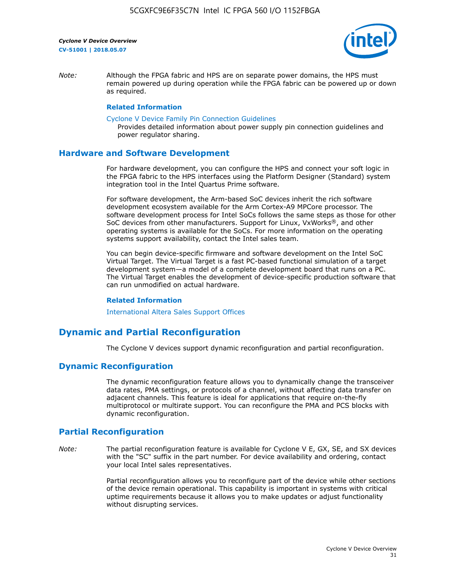

*Note:* Although the FPGA fabric and HPS are on separate power domains, the HPS must remain powered up during operation while the FPGA fabric can be powered up or down as required.

### **Related Information**

[Cyclone V Device Family Pin Connection Guidelines](https://www.altera.com/content/dam/altera-www/global/en_US/pdfs/literature/dp/cyclone-v/pcg-01014.pdf)

Provides detailed information about power supply pin connection guidelines and power regulator sharing.

### **Hardware and Software Development**

For hardware development, you can configure the HPS and connect your soft logic in the FPGA fabric to the HPS interfaces using the Platform Designer (Standard) system integration tool in the Intel Quartus Prime software.

For software development, the Arm-based SoC devices inherit the rich software development ecosystem available for the Arm Cortex-A9 MPCore processor. The software development process for Intel SoCs follows the same steps as those for other SoC devices from other manufacturers. Support for Linux, VxWorks®, and other operating systems is available for the SoCs. For more information on the operating systems support availability, contact the Intel sales team.

You can begin device-specific firmware and software development on the Intel SoC Virtual Target. The Virtual Target is a fast PC-based functional simulation of a target development system—a model of a complete development board that runs on a PC. The Virtual Target enables the development of device-specific production software that can run unmodified on actual hardware.

#### **Related Information**

[International Altera Sales Support Offices](https://www.altera.com/about/contact/contact/international-altera-sales-offices.html)

# **Dynamic and Partial Reconfiguration**

The Cyclone V devices support dynamic reconfiguration and partial reconfiguration.

### **Dynamic Reconfiguration**

The dynamic reconfiguration feature allows you to dynamically change the transceiver data rates, PMA settings, or protocols of a channel, without affecting data transfer on adjacent channels. This feature is ideal for applications that require on-the-fly multiprotocol or multirate support. You can reconfigure the PMA and PCS blocks with dynamic reconfiguration.

# **Partial Reconfiguration**

*Note:* The partial reconfiguration feature is available for Cyclone V E, GX, SE, and SX devices with the "SC" suffix in the part number. For device availability and ordering, contact your local Intel sales representatives.

> Partial reconfiguration allows you to reconfigure part of the device while other sections of the device remain operational. This capability is important in systems with critical uptime requirements because it allows you to make updates or adjust functionality without disrupting services.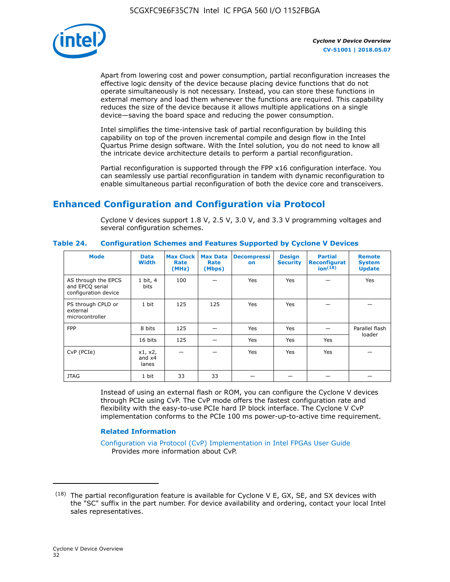

Apart from lowering cost and power consumption, partial reconfiguration increases the effective logic density of the device because placing device functions that do not operate simultaneously is not necessary. Instead, you can store these functions in external memory and load them whenever the functions are required. This capability reduces the size of the device because it allows multiple applications on a single device—saving the board space and reducing the power consumption.

Intel simplifies the time-intensive task of partial reconfiguration by building this capability on top of the proven incremental compile and design flow in the Intel Quartus Prime design software. With the Intel solution, you do not need to know all the intricate device architecture details to perform a partial reconfiguration.

Partial reconfiguration is supported through the FPP x16 configuration interface. You can seamlessly use partial reconfiguration in tandem with dynamic reconfiguration to enable simultaneous partial reconfiguration of both the device core and transceivers.

# **Enhanced Configuration and Configuration via Protocol**

Cyclone V devices support 1.8 V, 2.5 V, 3.0 V, and 3.3 V programming voltages and several configuration schemes.

| <b>Mode</b>                                                    | <b>Data</b><br>Width         | Max Clock  <br>Rate<br>(MHz) | <b>Max Data</b><br>Rate<br>(Mbps) | <b>Decompressi</b><br>on | <b>Design</b><br><b>Security</b> | <b>Partial</b><br>Reconfigurat<br>ion <sup>(18)</sup> | <b>Remote</b><br><b>System</b><br><b>Update</b> |
|----------------------------------------------------------------|------------------------------|------------------------------|-----------------------------------|--------------------------|----------------------------------|-------------------------------------------------------|-------------------------------------------------|
| AS through the EPCS<br>and EPCQ serial<br>configuration device | 1 bit, 4<br>bits             | 100                          |                                   | Yes                      | <b>Yes</b>                       |                                                       | Yes                                             |
| PS through CPLD or<br>external<br>microcontroller              | 1 bit                        | 125                          | 125                               | Yes                      | Yes                              |                                                       |                                                 |
| <b>FPP</b>                                                     | 8 bits                       | 125                          |                                   | Yes                      | <b>Yes</b>                       |                                                       | Parallel flash                                  |
|                                                                | 16 bits                      | 125                          |                                   | Yes                      | <b>Yes</b>                       | Yes                                                   | loader                                          |
| CvP (PCIe)                                                     | x1, x2,<br>and $x4$<br>lanes |                              |                                   | Yes                      | <b>Yes</b>                       | Yes                                                   |                                                 |
| <b>JTAG</b>                                                    | 1 bit                        | 33                           | 33                                |                          |                                  |                                                       |                                                 |

**Table 24. Configuration Schemes and Features Supported by Cyclone V Devices**

Instead of using an external flash or ROM, you can configure the Cyclone V devices through PCIe using CvP. The CvP mode offers the fastest configuration rate and flexibility with the easy-to-use PCIe hard IP block interface. The Cyclone V CvP implementation conforms to the PCIe 100 ms power-up-to-active time requirement.

### **Related Information**

[Configuration via Protocol \(CvP\) Implementation in Intel FPGAs User Guide](https://www.altera.com/documentation/nik1412546950394.html#nik1412546833714) Provides more information about CvP.

 $(18)$  The partial reconfiguration feature is available for Cyclone V E, GX, SE, and SX devices with the "SC" suffix in the part number. For device availability and ordering, contact your local Intel sales representatives.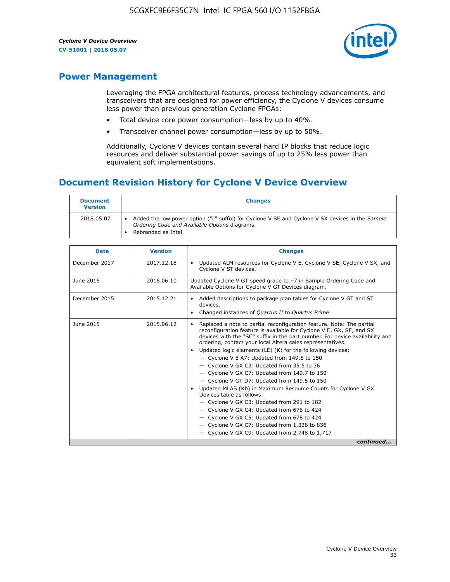

# **Power Management**

Leveraging the FPGA architectural features, process technology advancements, and transceivers that are designed for power efficiency, the Cyclone V devices consume less power than previous generation Cyclone FPGAs:

- Total device core power consumption—less by up to 40%.
- Transceiver channel power consumption—less by up to 50%.

Additionally, Cyclone V devices contain several hard IP blocks that reduce logic resources and deliver substantial power savings of up to 25% less power than equivalent soft implementations.

# **Document Revision History for Cyclone V Device Overview**

| <b>Document</b><br><b>Version</b> | <b>Changes</b>                                                                                                                                                          |
|-----------------------------------|-------------------------------------------------------------------------------------------------------------------------------------------------------------------------|
| 2018.05.07                        | Added the low power option ("L" suffix) for Cyclone V SE and Cyclone V SX devices in the Sample<br>Ordering Code and Available Options diagrams.<br>Rebranded as Intel. |

| <b>Date</b>   | <b>Version</b> | <b>Changes</b>                                                                                                                                                                                                                                                                                                                                                                                                                                                                                                                                                                                                                                                                                                                                                                                                                                                                                                  |
|---------------|----------------|-----------------------------------------------------------------------------------------------------------------------------------------------------------------------------------------------------------------------------------------------------------------------------------------------------------------------------------------------------------------------------------------------------------------------------------------------------------------------------------------------------------------------------------------------------------------------------------------------------------------------------------------------------------------------------------------------------------------------------------------------------------------------------------------------------------------------------------------------------------------------------------------------------------------|
| December 2017 | 2017.12.18     | Updated ALM resources for Cyclone V E, Cyclone V SE, Cyclone V SX, and<br>Cyclone V ST devices.                                                                                                                                                                                                                                                                                                                                                                                                                                                                                                                                                                                                                                                                                                                                                                                                                 |
| June 2016     | 2016.06.10     | Updated Cyclone V GT speed grade to -7 in Sample Ordering Code and<br>Available Options for Cyclone V GT Devices diagram.                                                                                                                                                                                                                                                                                                                                                                                                                                                                                                                                                                                                                                                                                                                                                                                       |
| December 2015 | 2015.12.21     | Added descriptions to package plan tables for Cyclone V GT and ST<br>devices.<br>Changed instances of Quartus II to Quartus Prime.                                                                                                                                                                                                                                                                                                                                                                                                                                                                                                                                                                                                                                                                                                                                                                              |
| June 2015     | 2015.06.12     | Replaced a note to partial reconfiguration feature. Note: The partial<br>reconfiguration feature is available for Cyclone V E, GX, SE, and SX<br>devices with the "SC" suffix in the part number. For device availability and<br>ordering, contact your local Altera sales representatives.<br>Updated logic elements (LE) (K) for the following devices:<br>$\bullet$<br>- Cyclone V E A7: Updated from 149.5 to 150<br>- Cyclone V GX C3: Updated from 35.5 to 36<br>- Cyclone V GX C7: Updated from 149.7 to 150<br>- Cyclone V GT D7: Updated from 149.5 to 150<br>Updated MLAB (Kb) in Maximum Resource Counts for Cyclone V GX<br>Devices table as follows:<br>- Cyclone V GX C3: Updated from 291 to 182<br>- Cyclone V GX C4: Updated from 678 to 424<br>- Cyclone V GX C5: Updated from 678 to 424<br>- Cyclone V GX C7: Updated from 1,338 to 836<br>$-$ Cyclone V GX C9: Updated from 2,748 to 1,717 |
|               |                | continued                                                                                                                                                                                                                                                                                                                                                                                                                                                                                                                                                                                                                                                                                                                                                                                                                                                                                                       |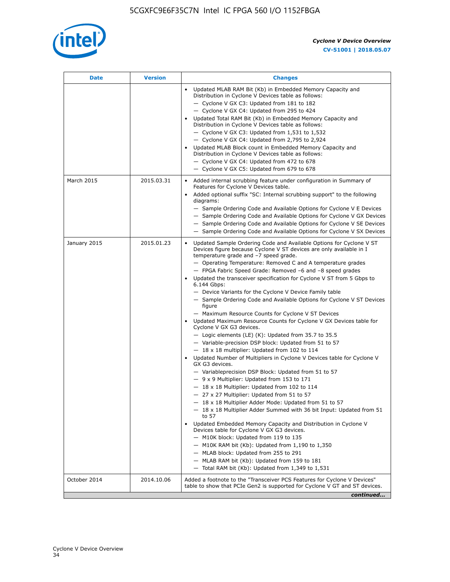

| <b>Date</b>  | <b>Version</b> | <b>Changes</b>                                                                                                                                                                                                                                                                                                                                                                                                                                                                                                                                                                                                                                                                                                                                                                                                                                                                                                                                                                                                                                                                                                                                                                                                                                                                                                                                                                                                                                                                                                                                                                                                                                                                                                |
|--------------|----------------|---------------------------------------------------------------------------------------------------------------------------------------------------------------------------------------------------------------------------------------------------------------------------------------------------------------------------------------------------------------------------------------------------------------------------------------------------------------------------------------------------------------------------------------------------------------------------------------------------------------------------------------------------------------------------------------------------------------------------------------------------------------------------------------------------------------------------------------------------------------------------------------------------------------------------------------------------------------------------------------------------------------------------------------------------------------------------------------------------------------------------------------------------------------------------------------------------------------------------------------------------------------------------------------------------------------------------------------------------------------------------------------------------------------------------------------------------------------------------------------------------------------------------------------------------------------------------------------------------------------------------------------------------------------------------------------------------------------|
|              |                | Updated MLAB RAM Bit (Kb) in Embedded Memory Capacity and<br>Distribution in Cyclone V Devices table as follows:<br>- Cyclone V GX C3: Updated from 181 to 182<br>- Cyclone V GX C4: Updated from 295 to 424<br>Updated Total RAM Bit (Kb) in Embedded Memory Capacity and<br>Distribution in Cyclone V Devices table as follows:<br>$-$ Cyclone V GX C3: Updated from 1,531 to 1,532<br>- Cyclone V GX C4: Updated from 2,795 to 2,924<br>Updated MLAB Block count in Embedded Memory Capacity and<br>Distribution in Cyclone V Devices table as follows:<br>- Cyclone V GX C4: Updated from 472 to 678<br>- Cyclone V GX C5: Updated from 679 to 678                                                                                                                                                                                                                                                                                                                                                                                                                                                                                                                                                                                                                                                                                                                                                                                                                                                                                                                                                                                                                                                        |
| March 2015   | 2015.03.31     | Added internal scrubbing feature under configuration in Summary of<br>$\bullet$<br>Features for Cyclone V Devices table.<br>Added optional suffix "SC: Internal scrubbing support" to the following<br>diagrams:<br>- Sample Ordering Code and Available Options for Cyclone V E Devices<br>- Sample Ordering Code and Available Options for Cyclone V GX Devices<br>- Sample Ordering Code and Available Options for Cyclone V SE Devices<br>- Sample Ordering Code and Available Options for Cyclone V SX Devices                                                                                                                                                                                                                                                                                                                                                                                                                                                                                                                                                                                                                                                                                                                                                                                                                                                                                                                                                                                                                                                                                                                                                                                           |
| January 2015 | 2015.01.23     | Updated Sample Ordering Code and Available Options for Cyclone V ST<br>Devices figure because Cyclone V ST devices are only available in I<br>temperature grade and -7 speed grade.<br>- Operating Temperature: Removed C and A temperature grades<br>- FPGA Fabric Speed Grade: Removed -6 and -8 speed grades<br>Updated the transceiver specification for Cyclone V ST from 5 Gbps to<br>6.144 Gbps:<br>- Device Variants for the Cyclone V Device Family table<br>- Sample Ordering Code and Available Options for Cyclone V ST Devices<br>figure<br>- Maximum Resource Counts for Cyclone V ST Devices<br>Updated Maximum Resource Counts for Cyclone V GX Devices table for<br>Cyclone V GX G3 devices.<br>$-$ Logic elements (LE) (K): Updated from 35.7 to 35.5<br>- Variable-precision DSP block: Updated from 51 to 57<br>$-18 \times 18$ multiplier: Updated from 102 to 114<br>Updated Number of Multipliers in Cyclone V Devices table for Cyclone V<br>GX G3 devices.<br>- Variableprecision DSP Block: Updated from 51 to 57<br>$-9x9$ Multiplier: Updated from 153 to 171<br>$-18 \times 18$ Multiplier: Updated from 102 to 114<br>- 27 x 27 Multiplier: Updated from 51 to 57<br>- 18 x 18 Multiplier Adder Mode: Updated from 51 to 57<br>$-18 \times 18$ Multiplier Adder Summed with 36 bit Input: Updated from 51<br>to 57<br>Updated Embedded Memory Capacity and Distribution in Cyclone V<br>Devices table for Cyclone V GX G3 devices.<br>- M10K block: Updated from 119 to 135<br>- M10K RAM bit (Kb): Updated from 1,190 to 1,350<br>- MLAB block: Updated from 255 to 291<br>- MLAB RAM bit (Kb): Updated from 159 to 181<br>$-$ Total RAM bit (Kb): Updated from 1,349 to 1,531 |
| October 2014 | 2014.10.06     | Added a footnote to the "Transceiver PCS Features for Cyclone V Devices"<br>table to show that PCIe Gen2 is supported for Cyclone V GT and ST devices.                                                                                                                                                                                                                                                                                                                                                                                                                                                                                                                                                                                                                                                                                                                                                                                                                                                                                                                                                                                                                                                                                                                                                                                                                                                                                                                                                                                                                                                                                                                                                        |
|              |                | continued                                                                                                                                                                                                                                                                                                                                                                                                                                                                                                                                                                                                                                                                                                                                                                                                                                                                                                                                                                                                                                                                                                                                                                                                                                                                                                                                                                                                                                                                                                                                                                                                                                                                                                     |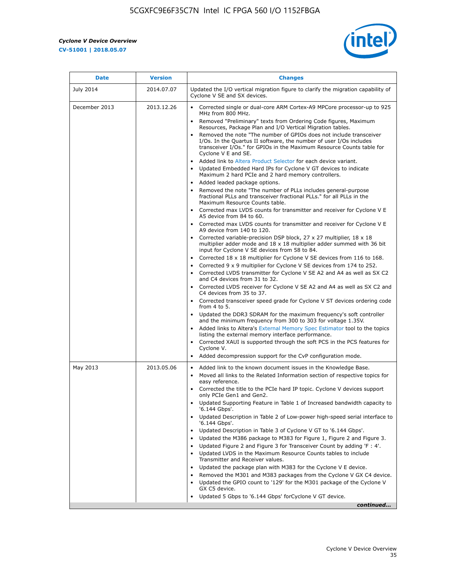r



| <b>Date</b>   | <b>Version</b> | <b>Changes</b>                                                                                                                                                                                                                                                                                                                                                                                                                                                                                                                                                                                                                                                                                                                                                                                                                                                                                                                                                                                                                                                                                                                                                                                                                                                                                                                                             |
|---------------|----------------|------------------------------------------------------------------------------------------------------------------------------------------------------------------------------------------------------------------------------------------------------------------------------------------------------------------------------------------------------------------------------------------------------------------------------------------------------------------------------------------------------------------------------------------------------------------------------------------------------------------------------------------------------------------------------------------------------------------------------------------------------------------------------------------------------------------------------------------------------------------------------------------------------------------------------------------------------------------------------------------------------------------------------------------------------------------------------------------------------------------------------------------------------------------------------------------------------------------------------------------------------------------------------------------------------------------------------------------------------------|
| July 2014     | 2014.07.07     | Updated the I/O vertical migration figure to clarify the migration capability of<br>Cyclone V SE and SX devices.                                                                                                                                                                                                                                                                                                                                                                                                                                                                                                                                                                                                                                                                                                                                                                                                                                                                                                                                                                                                                                                                                                                                                                                                                                           |
| December 2013 | 2013.12.26     | Corrected single or dual-core ARM Cortex-A9 MPCore processor-up to 925<br>MHz from 800 MHz.<br>Removed "Preliminary" texts from Ordering Code figures, Maximum<br>Resources, Package Plan and I/O Vertical Migration tables.<br>Removed the note "The number of GPIOs does not include transceiver<br>I/Os. In the Quartus II software, the number of user I/Os includes<br>transceiver I/Os." for GPIOs in the Maximum Resource Counts table for<br>Cyclone V E and SE.<br>Added link to Altera Product Selector for each device variant.<br>Updated Embedded Hard IPs for Cyclone V GT devices to indicate<br>Maximum 2 hard PCIe and 2 hard memory controllers.<br>• Added leaded package options.<br>Removed the note "The number of PLLs includes general-purpose<br>fractional PLLs and transceiver fractional PLLs." for all PLLs in the                                                                                                                                                                                                                                                                                                                                                                                                                                                                                                            |
|               |                | Maximum Resource Counts table.<br>• Corrected max LVDS counts for transmitter and receiver for Cyclone V E<br>A5 device from 84 to 60.<br>• Corrected max LVDS counts for transmitter and receiver for Cyclone V E<br>A9 device from 140 to 120.<br>Corrected variable-precision DSP block, 27 x 27 multiplier, 18 x 18<br>multiplier adder mode and 18 x 18 multiplier adder summed with 36 bit<br>input for Cyclone V SE devices from 58 to 84.<br>Corrected 18 x 18 multiplier for Cyclone V SE devices from 116 to 168.<br>Corrected 9 x 9 multiplier for Cyclone V SE devices from 174 to 252.<br>Corrected LVDS transmitter for Cyclone V SE A2 and A4 as well as SX C2<br>and C4 devices from 31 to 32.<br>• Corrected LVDS receiver for Cyclone V SE A2 and A4 as well as SX C2 and<br>C4 devices from 35 to 37.<br>• Corrected transceiver speed grade for Cyclone V ST devices ordering code<br>from 4 to 5.<br>• Updated the DDR3 SDRAM for the maximum frequency's soft controller<br>and the minimum frequency from 300 to 303 for voltage 1.35V.<br>Added links to Altera's External Memory Spec Estimator tool to the topics<br>listing the external memory interface performance.<br>Corrected XAUI is supported through the soft PCS in the PCS features for<br>Cyclone V.<br>Added decompression support for the CvP configuration mode. |
| May 2013      | 2013.05.06     | Added link to the known document issues in the Knowledge Base.<br>$\bullet$<br>Moved all links to the Related Information section of respective topics for<br>$\bullet$<br>easy reference.<br>Corrected the title to the PCIe hard IP topic. Cyclone V devices support<br>only PCIe Gen1 and Gen2.<br>Updated Supporting Feature in Table 1 of Increased bandwidth capacity to<br>٠<br>'6.144 Gbps'.<br>Updated Description in Table 2 of Low-power high-speed serial interface to<br>'6.144 Gbps'.<br>Updated Description in Table 3 of Cyclone V GT to '6.144 Gbps'.<br>Updated the M386 package to M383 for Figure 1, Figure 2 and Figure 3.<br>٠<br>Updated Figure 2 and Figure 3 for Transceiver Count by adding 'F : 4'.<br>٠<br>Updated LVDS in the Maximum Resource Counts tables to include<br>Transmitter and Receiver values.<br>Updated the package plan with M383 for the Cyclone V E device.<br>Removed the M301 and M383 packages from the Cyclone V GX C4 device.<br>Updated the GPIO count to '129' for the M301 package of the Cyclone V<br>GX C5 device.<br>Updated 5 Gbps to '6.144 Gbps' for Cyclone V GT device.<br>continued                                                                                                                                                                                                        |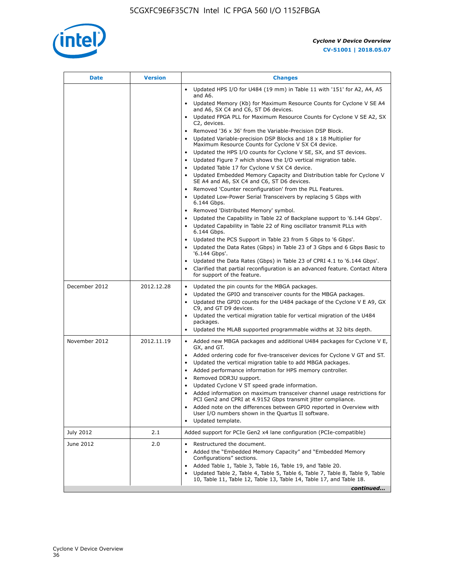

|               |            | <b>Changes</b>                                                                                                                                                                                                                                                                                                                                                                                                                                                                                                                                                                                                                                                                                                                                                                                                                                                                                                                                                                                                                                     |
|---------------|------------|----------------------------------------------------------------------------------------------------------------------------------------------------------------------------------------------------------------------------------------------------------------------------------------------------------------------------------------------------------------------------------------------------------------------------------------------------------------------------------------------------------------------------------------------------------------------------------------------------------------------------------------------------------------------------------------------------------------------------------------------------------------------------------------------------------------------------------------------------------------------------------------------------------------------------------------------------------------------------------------------------------------------------------------------------|
|               |            | • Updated HPS I/O for U484 (19 mm) in Table 11 with '151' for A2, A4, A5<br>and A6.                                                                                                                                                                                                                                                                                                                                                                                                                                                                                                                                                                                                                                                                                                                                                                                                                                                                                                                                                                |
|               |            | • Updated Memory (Kb) for Maximum Resource Counts for Cyclone V SE A4<br>and A6, SX C4 and C6, ST D6 devices.                                                                                                                                                                                                                                                                                                                                                                                                                                                                                                                                                                                                                                                                                                                                                                                                                                                                                                                                      |
|               |            | Updated FPGA PLL for Maximum Resource Counts for Cyclone V SE A2, SX<br>C2, devices.                                                                                                                                                                                                                                                                                                                                                                                                                                                                                                                                                                                                                                                                                                                                                                                                                                                                                                                                                               |
|               |            | Removed '36 x 36' from the Variable-Precision DSP Block.<br>Updated Variable-precision DSP Blocks and 18 x 18 Multiplier for<br>Maximum Resource Counts for Cyclone V SX C4 device.<br>• Updated the HPS I/O counts for Cyclone V SE, SX, and ST devices.<br>Updated Figure 7 which shows the I/O vertical migration table.<br>Updated Table 17 for Cyclone V SX C4 device.<br>$\bullet$<br>• Updated Embedded Memory Capacity and Distribution table for Cyclone V<br>SE A4 and A6, SX C4 and C6, ST D6 devices.<br>Removed 'Counter reconfiguration' from the PLL Features.<br>Updated Low-Power Serial Transceivers by replacing 5 Gbps with<br>6.144 Gbps.<br>Removed 'Distributed Memory' symbol.<br>Updated the Capability in Table 22 of Backplane support to '6.144 Gbps'.<br>Updated Capability in Table 22 of Ring oscillator transmit PLLs with<br>6.144 Gbps.<br>Updated the PCS Support in Table 23 from 5 Gbps to '6 Gbps'.<br>Updated the Data Rates (Gbps) in Table 23 of 3 Gbps and 6 Gbps Basic to<br>$\bullet$<br>'6.144 Gbps'. |
|               |            | Updated the Data Rates (Gbps) in Table 23 of CPRI 4.1 to '6.144 Gbps'.<br>Clarified that partial reconfiguration is an advanced feature. Contact Altera<br>for support of the feature.                                                                                                                                                                                                                                                                                                                                                                                                                                                                                                                                                                                                                                                                                                                                                                                                                                                             |
| December 2012 | 2012.12.28 | Updated the pin counts for the MBGA packages.<br>$\bullet$<br>Updated the GPIO and transceiver counts for the MBGA packages.<br>$\bullet$<br>Updated the GPIO counts for the U484 package of the Cyclone V E A9, GX<br>C9, and GT D9 devices.<br>• Updated the vertical migration table for vertical migration of the U484<br>packages.<br>• Updated the MLAB supported programmable widths at 32 bits depth.                                                                                                                                                                                                                                                                                                                                                                                                                                                                                                                                                                                                                                      |
| November 2012 | 2012.11.19 | • Added new MBGA packages and additional U484 packages for Cyclone V E,<br>GX, and GT.<br>• Added ordering code for five-transceiver devices for Cyclone V GT and ST.<br>Updated the vertical migration table to add MBGA packages.<br>$\bullet$<br>Added performance information for HPS memory controller.<br>$\bullet$<br>Removed DDR3U support.<br>$\bullet$<br>Updated Cyclone V ST speed grade information.<br>Added information on maximum transceiver channel usage restrictions for<br>PCI Gen2 and CPRI at 4.9152 Gbps transmit jitter compliance.<br>Added note on the differences between GPIO reported in Overview with<br>User I/O numbers shown in the Quartus II software.<br>Updated template.                                                                                                                                                                                                                                                                                                                                    |
| July 2012     | 2.1        | Added support for PCIe Gen2 x4 lane configuration (PCIe-compatible)                                                                                                                                                                                                                                                                                                                                                                                                                                                                                                                                                                                                                                                                                                                                                                                                                                                                                                                                                                                |
| June 2012     | 2.0        | Restructured the document.<br>Added the "Embedded Memory Capacity" and "Embedded Memory<br>Configurations" sections.<br>Added Table 1, Table 3, Table 16, Table 19, and Table 20.<br>Updated Table 2, Table 4, Table 5, Table 6, Table 7, Table 8, Table 9, Table<br>10, Table 11, Table 12, Table 13, Table 14, Table 17, and Table 18.<br>continued                                                                                                                                                                                                                                                                                                                                                                                                                                                                                                                                                                                                                                                                                              |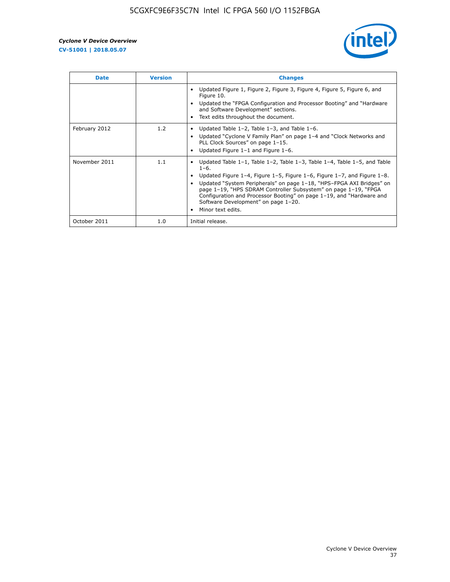

| <b>Date</b>   | <b>Version</b> | <b>Changes</b>                                                                                                                                                                                                                                                                                                                                                                                                                                                             |
|---------------|----------------|----------------------------------------------------------------------------------------------------------------------------------------------------------------------------------------------------------------------------------------------------------------------------------------------------------------------------------------------------------------------------------------------------------------------------------------------------------------------------|
|               |                | Updated Figure 1, Figure 2, Figure 3, Figure 4, Figure 5, Figure 6, and<br>Figure 10.<br>Updated the "FPGA Configuration and Processor Booting" and "Hardware"<br>and Software Development" sections.<br>Text edits throughout the document.                                                                                                                                                                                                                               |
| February 2012 | 1.2            | Updated Table $1-2$ , Table $1-3$ , and Table $1-6$ .<br>Updated "Cyclone V Family Plan" on page 1-4 and "Clock Networks and<br>PLL Clock Sources" on page 1-15.<br>Updated Figure 1-1 and Figure 1-6.                                                                                                                                                                                                                                                                     |
| November 2011 | 1.1            | Updated Table $1-1$ , Table $1-2$ , Table $1-3$ , Table $1-4$ , Table $1-5$ , and Table<br>$1 - 6.$<br>Updated Figure 1-4, Figure 1-5, Figure 1-6, Figure 1-7, and Figure 1-8.<br>Updated "System Peripherals" on page 1-18, "HPS-FPGA AXI Bridges" on<br>page 1-19, "HPS SDRAM Controller Subsystem" on page 1-19, "FPGA<br>Configuration and Processor Booting" on page 1-19, and "Hardware and<br>Software Development" on page 1-20.<br>Minor text edits.<br>$\bullet$ |
| October 2011  | 1.0            | Initial release.                                                                                                                                                                                                                                                                                                                                                                                                                                                           |